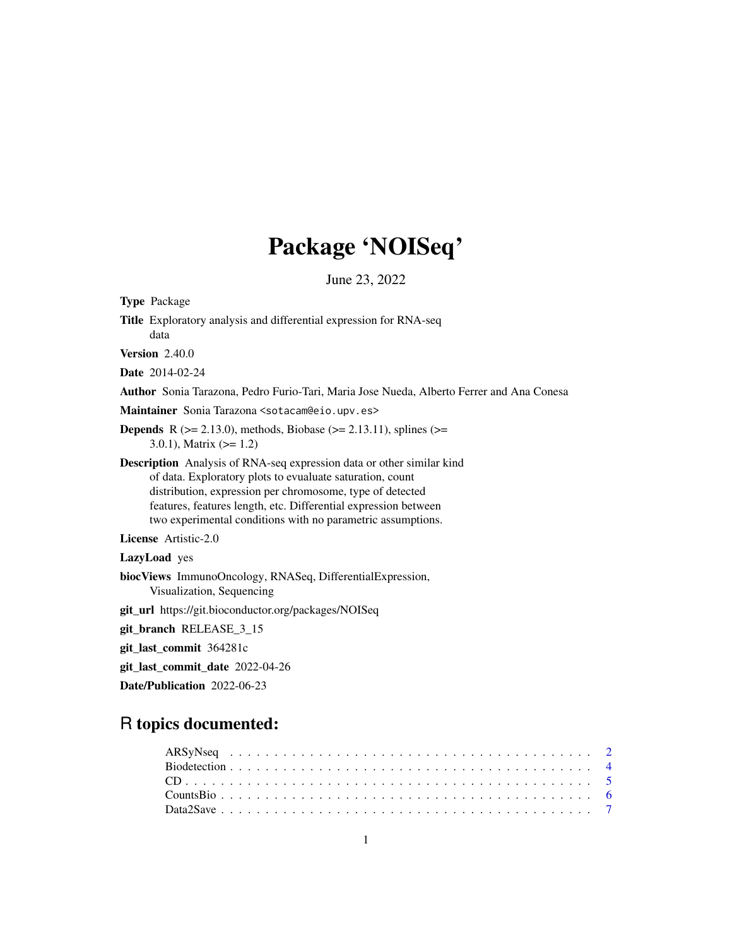# Package 'NOISeq'

June 23, 2022

<span id="page-0-0"></span>Type Package Title Exploratory analysis and differential expression for RNA-seq data Version 2.40.0 Date 2014-02-24 Author Sonia Tarazona, Pedro Furio-Tari, Maria Jose Nueda, Alberto Ferrer and Ana Conesa Maintainer Sonia Tarazona <sotacam@eio.upv.es> **Depends** R ( $>= 2.13.0$ ), methods, Biobase ( $>= 2.13.11$ ), splines ( $>=$ 3.0.1), Matrix  $(>= 1.2)$ Description Analysis of RNA-seq expression data or other similar kind of data. Exploratory plots to evualuate saturation, count distribution, expression per chromosome, type of detected features, features length, etc. Differential expression between two experimental conditions with no parametric assumptions. License Artistic-2.0 LazyLoad yes biocViews ImmunoOncology, RNASeq, DifferentialExpression, Visualization, Sequencing git\_url https://git.bioconductor.org/packages/NOISeq git\_branch RELEASE\_3\_15 git\_last\_commit 364281c git\_last\_commit\_date 2022-04-26 Date/Publication 2022-06-23

## R topics documented: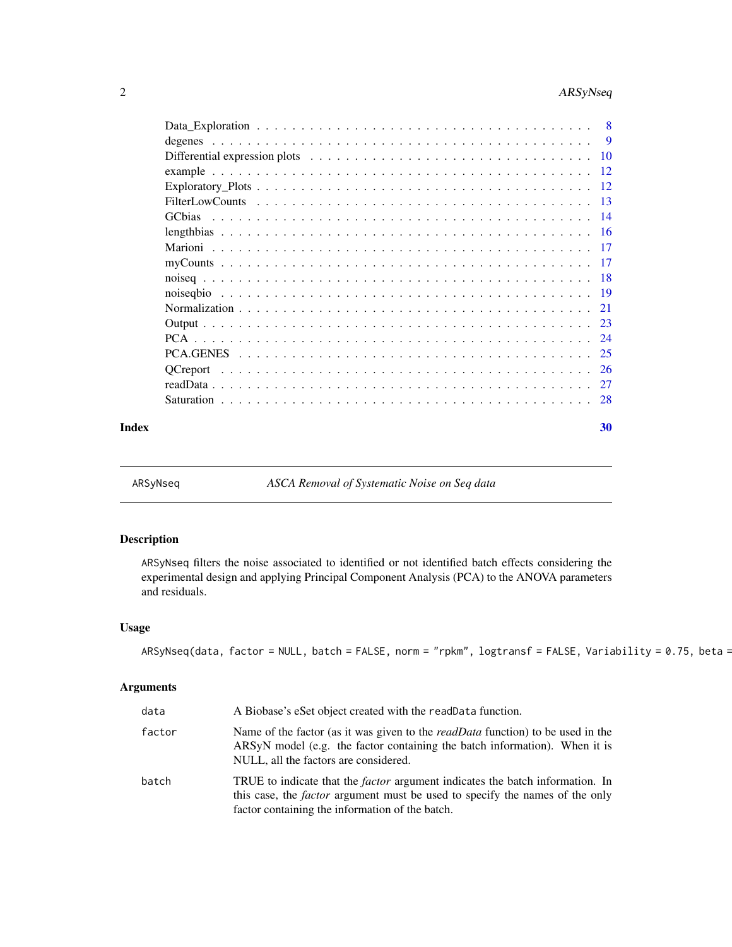<span id="page-1-0"></span>

| 8        |
|----------|
| <b>9</b> |
|          |
| -12      |
| - 12     |
| -13      |
| - 14     |
| - 16     |
|          |
|          |
|          |
|          |
|          |
|          |
|          |
| -25      |
| -26      |
|          |
|          |
|          |

#### $\bf 30$  $\bf 30$

ARSyNseq *ASCA Removal of Systematic Noise on Seq data*

## Description

ARSyNseq filters the noise associated to identified or not identified batch effects considering the experimental design and applying Principal Component Analysis (PCA) to the ANOVA parameters and residuals.

## Usage

```
ARSyNseq(data, factor = NULL, batch = FALSE, norm = "rpkm", logtransf = FALSE, Variability = 0.75, beta =
```

| data   | A Biobase's eSet object created with the readData function.                                                                                                                                                                    |
|--------|--------------------------------------------------------------------------------------------------------------------------------------------------------------------------------------------------------------------------------|
| factor | Name of the factor (as it was given to the <i>readData</i> function) to be used in the<br>ARSyN model (e.g. the factor containing the batch information). When it is<br>NULL, all the factors are considered.                  |
| batch  | TRUE to indicate that the <i>factor</i> argument indicates the batch information. In<br>this case, the <i>factor</i> argument must be used to specify the names of the only<br>factor containing the information of the batch. |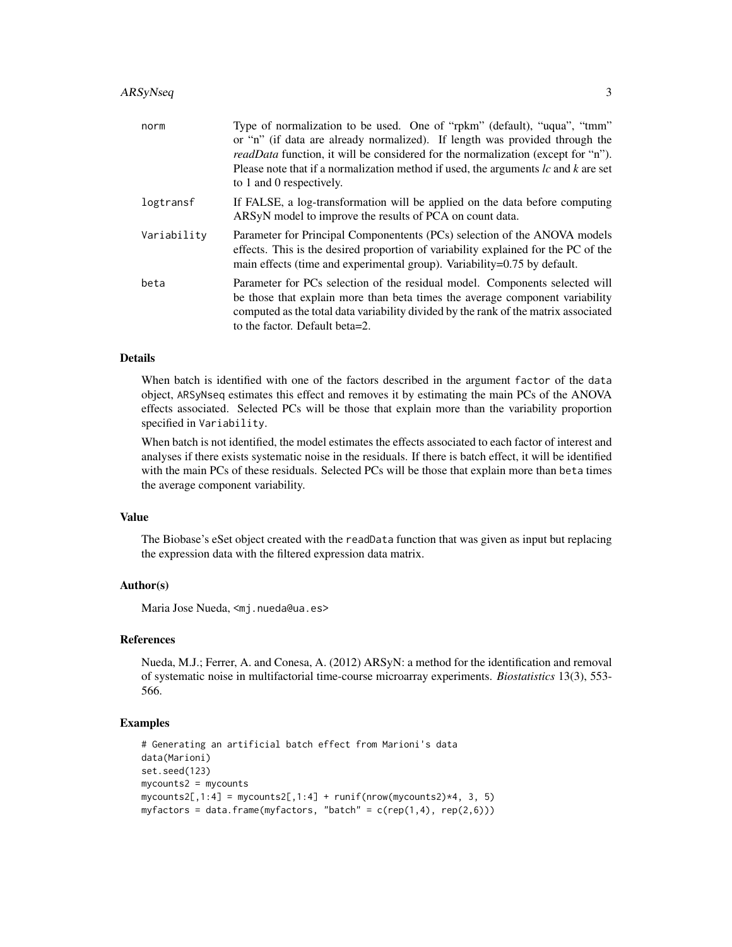| norm        | Type of normalization to be used. One of "rpkm" (default), "uqua", "tmm"<br>or "n" (if data are already normalized). If length was provided through the<br><i>readData</i> function, it will be considered for the normalization (except for "n").<br>Please note that if a normalization method if used, the arguments $lc$ and $k$ are set<br>to 1 and 0 respectively. |
|-------------|--------------------------------------------------------------------------------------------------------------------------------------------------------------------------------------------------------------------------------------------------------------------------------------------------------------------------------------------------------------------------|
| logtransf   | If FALSE, a log-transformation will be applied on the data before computing<br>ARSyN model to improve the results of PCA on count data.                                                                                                                                                                                                                                  |
| Variability | Parameter for Principal Componentents (PCs) selection of the ANOVA models<br>effects. This is the desired proportion of variability explained for the PC of the<br>main effects (time and experimental group). Variability=0.75 by default.                                                                                                                              |
| beta        | Parameter for PCs selection of the residual model. Components selected will<br>be those that explain more than beta times the average component variability<br>computed as the total data variability divided by the rank of the matrix associated<br>to the factor. Default beta=2.                                                                                     |

#### Details

When batch is identified with one of the factors described in the argument factor of the data object, ARSyNseq estimates this effect and removes it by estimating the main PCs of the ANOVA effects associated. Selected PCs will be those that explain more than the variability proportion specified in Variability.

When batch is not identified, the model estimates the effects associated to each factor of interest and analyses if there exists systematic noise in the residuals. If there is batch effect, it will be identified with the main PCs of these residuals. Selected PCs will be those that explain more than beta times the average component variability.

#### Value

The Biobase's eSet object created with the readData function that was given as input but replacing the expression data with the filtered expression data matrix.

#### Author(s)

Maria Jose Nueda, <mj.nueda@ua.es>

#### References

Nueda, M.J.; Ferrer, A. and Conesa, A. (2012) ARSyN: a method for the identification and removal of systematic noise in multifactorial time-course microarray experiments. *Biostatistics* 13(3), 553- 566.

#### Examples

```
# Generating an artificial batch effect from Marioni's data
data(Marioni)
set.seed(123)
mycounts2 = mycounts
mycounts2[,1:4] = mycounts2[,1:4] + runif(nrow(mycounts2)*4, 3, 5)myfactors = data.frame(myfactors, "batch" = c(rep(1,4), rep(2,6)))
```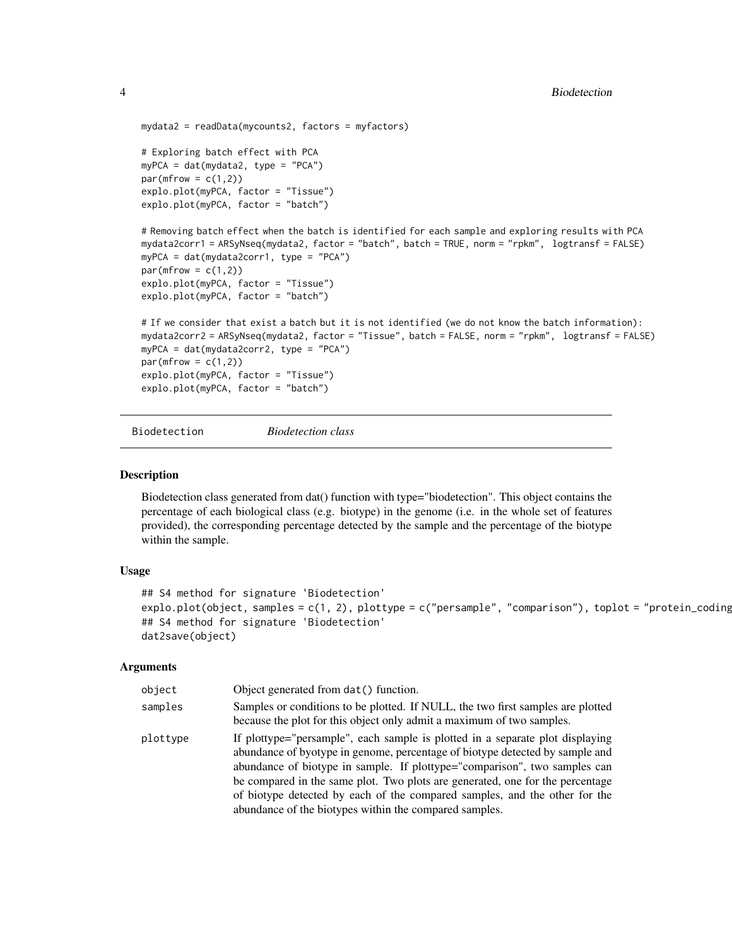```
mydata2 = readData(mycounts2, factors = myfactors)
# Exploring batch effect with PCA
myPCA = dat(mydata2, type = "PCA")
par(mfrow = c(1,2))explo.plot(myPCA, factor = "Tissue")
explo.plot(myPCA, factor = "batch")
# Removing batch effect when the batch is identified for each sample and exploring results with PCA
mydata2corr1 = ARSyNseq(mydata2, factor = "batch", batch = TRUE, norm = "rpkm", logtransf = FALSE)
myPCA = dat(mydata2corr1, type = "PCA")
par(mfrow = c(1,2))explo.plot(myPCA, factor = "Tissue")
explo.plot(myPCA, factor = "batch")
# If we consider that exist a batch but it is not identified (we do not know the batch information):
mydata2corr2 = ARSyNseq(mydata2, factor = "Tissue", batch = FALSE, norm = "rpkm", logtransf = FALSE)
myPCA = dat(mydata2corr2, type = "PCA")
par(mfrow = c(1,2))explo.plot(myPCA, factor = "Tissue")
explo.plot(myPCA, factor = "batch")
```
<span id="page-3-1"></span>Biodetection *Biodetection class*

#### **Description**

Biodetection class generated from dat() function with type="biodetection". This object contains the percentage of each biological class (e.g. biotype) in the genome (i.e. in the whole set of features provided), the corresponding percentage detected by the sample and the percentage of the biotype within the sample.

#### Usage

```
## S4 method for signature 'Biodetection'
explo.plot(object, samples = c(1, 2), plottype = c("personple", "comparison"), toplot = "protein_coding## S4 method for signature 'Biodetection'
dat2save(object)
```

| object   | Object generated from dat () function.                                                                                                                                                                                                                                                                                                                                                                                                                              |
|----------|---------------------------------------------------------------------------------------------------------------------------------------------------------------------------------------------------------------------------------------------------------------------------------------------------------------------------------------------------------------------------------------------------------------------------------------------------------------------|
| samples  | Samples or conditions to be plotted. If NULL, the two first samples are plotted<br>because the plot for this object only admit a maximum of two samples.                                                                                                                                                                                                                                                                                                            |
| plottype | If plottype="persample", each sample is plotted in a separate plot displaying<br>abundance of byotype in genome, percentage of biotype detected by sample and<br>abundance of biotype in sample. If plottype="comparison", two samples can<br>be compared in the same plot. Two plots are generated, one for the percentage<br>of biotype detected by each of the compared samples, and the other for the<br>abundance of the biotypes within the compared samples. |

<span id="page-3-0"></span>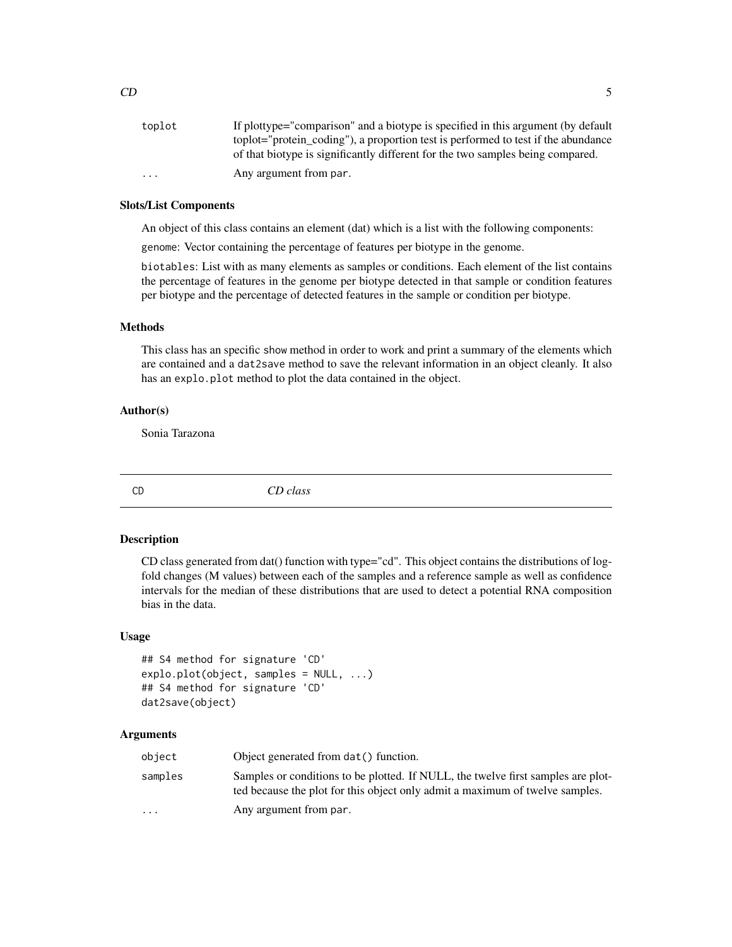#### <span id="page-4-0"></span>Slots/List Components

An object of this class contains an element (dat) which is a list with the following components:

genome: Vector containing the percentage of features per biotype in the genome.

biotables: List with as many elements as samples or conditions. Each element of the list contains the percentage of features in the genome per biotype detected in that sample or condition features per biotype and the percentage of detected features in the sample or condition per biotype.

#### Methods

This class has an specific show method in order to work and print a summary of the elements which are contained and a dat2save method to save the relevant information in an object cleanly. It also has an explo.plot method to plot the data contained in the object.

#### Author(s)

Sonia Tarazona

<span id="page-4-1"></span>

CD *CD class*

#### Description

CD class generated from dat() function with type="cd". This object contains the distributions of logfold changes (M values) between each of the samples and a reference sample as well as confidence intervals for the median of these distributions that are used to detect a potential RNA composition bias in the data.

## Usage

```
## S4 method for signature 'CD'
explo.plot(object, samples = NULL, ...)
## S4 method for signature 'CD'
dat2save(object)
```

| object                  | Object generated from dat () function.                                                                                                                           |
|-------------------------|------------------------------------------------------------------------------------------------------------------------------------------------------------------|
| samples                 | Samples or conditions to be plotted. If NULL, the twelve first samples are plot-<br>ted because the plot for this object only admit a maximum of twelve samples. |
| $\cdot$ $\cdot$ $\cdot$ | Any argument from par.                                                                                                                                           |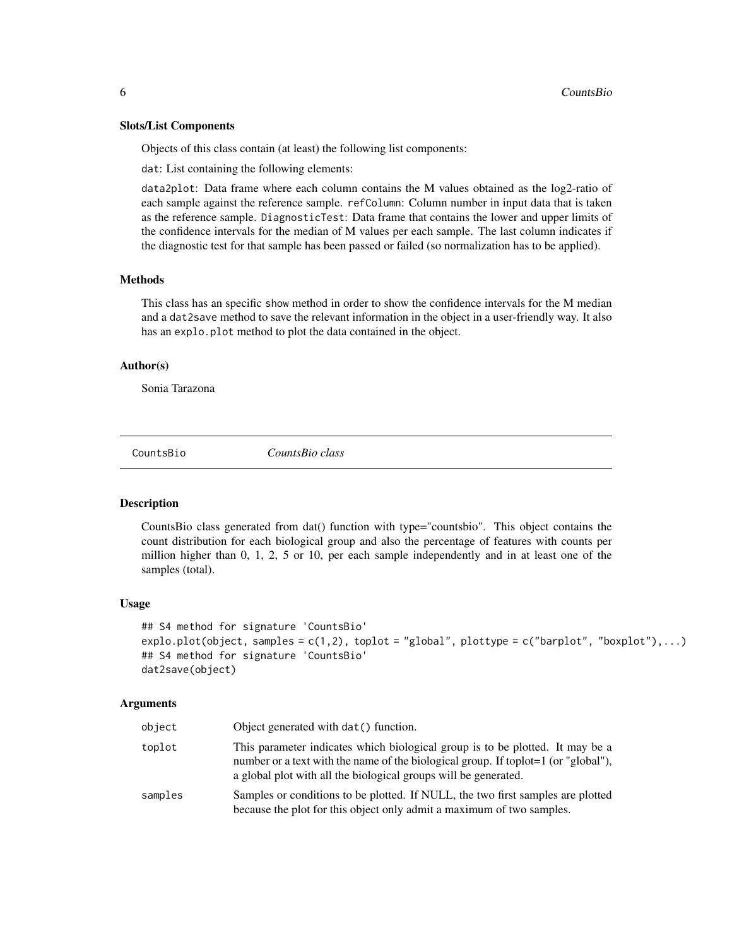#### <span id="page-5-0"></span>Slots/List Components

Objects of this class contain (at least) the following list components:

dat: List containing the following elements:

data2plot: Data frame where each column contains the M values obtained as the log2-ratio of each sample against the reference sample. refColumn: Column number in input data that is taken as the reference sample. DiagnosticTest: Data frame that contains the lower and upper limits of the confidence intervals for the median of M values per each sample. The last column indicates if the diagnostic test for that sample has been passed or failed (so normalization has to be applied).

#### Methods

This class has an specific show method in order to show the confidence intervals for the M median and a dat2save method to save the relevant information in the object in a user-friendly way. It also has an explo.plot method to plot the data contained in the object.

#### Author(s)

Sonia Tarazona

<span id="page-5-1"></span>CountsBio *CountsBio class*

#### Description

CountsBio class generated from dat() function with type="countsbio". This object contains the count distribution for each biological group and also the percentage of features with counts per million higher than 0, 1, 2, 5 or 10, per each sample independently and in at least one of the samples (total).

#### Usage

```
## S4 method for signature 'CountsBio'
explo.plot(object, samples = c(1,2), toplot = "global", plottype = c("barplot", "boxplot"),...)
## S4 method for signature 'CountsBio'
dat2save(object)
```

| object  | Object generated with dat() function.                                                                                                                                                                                                  |
|---------|----------------------------------------------------------------------------------------------------------------------------------------------------------------------------------------------------------------------------------------|
| toplot  | This parameter indicates which biological group is to be plotted. It may be a<br>number or a text with the name of the biological group. If toplot=1 (or "global"),<br>a global plot with all the biological groups will be generated. |
| samples | Samples or conditions to be plotted. If NULL, the two first samples are plotted<br>because the plot for this object only admit a maximum of two samples.                                                                               |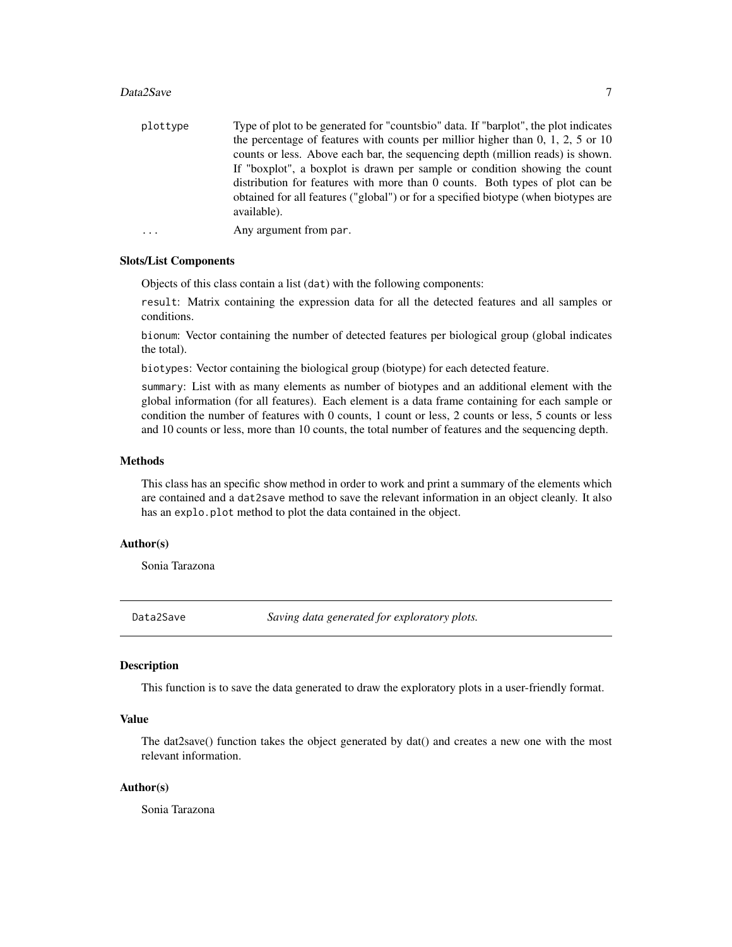#### <span id="page-6-0"></span>Data2Save 7

| plottype  | Type of plot to be generated for "countsbio" data. If "barplot", the plot indicates               |
|-----------|---------------------------------------------------------------------------------------------------|
|           | the percentage of features with counts per millior higher than $0, 1, 2, 5$ or $10$               |
|           | counts or less. Above each bar, the sequencing depth (million reads) is shown.                    |
|           | If "boxplot", a boxplot is drawn per sample or condition showing the count                        |
|           | distribution for features with more than 0 counts. Both types of plot can be                      |
|           | obtained for all features ("global") or for a specified biotype (when biotypes are<br>available). |
| $\ddotsc$ | Any argument from par.                                                                            |

#### Slots/List Components

Objects of this class contain a list (dat) with the following components:

result: Matrix containing the expression data for all the detected features and all samples or conditions.

bionum: Vector containing the number of detected features per biological group (global indicates the total).

biotypes: Vector containing the biological group (biotype) for each detected feature.

summary: List with as many elements as number of biotypes and an additional element with the global information (for all features). Each element is a data frame containing for each sample or condition the number of features with 0 counts, 1 count or less, 2 counts or less, 5 counts or less and 10 counts or less, more than 10 counts, the total number of features and the sequencing depth.

## Methods

This class has an specific show method in order to work and print a summary of the elements which are contained and a dat2save method to save the relevant information in an object cleanly. It also has an explo.plot method to plot the data contained in the object.

#### Author(s)

Sonia Tarazona

Data2Save *Saving data generated for exploratory plots.*

## <span id="page-6-1"></span>**Description**

This function is to save the data generated to draw the exploratory plots in a user-friendly format.

#### Value

The dat2save() function takes the object generated by dat() and creates a new one with the most relevant information.

## Author(s)

Sonia Tarazona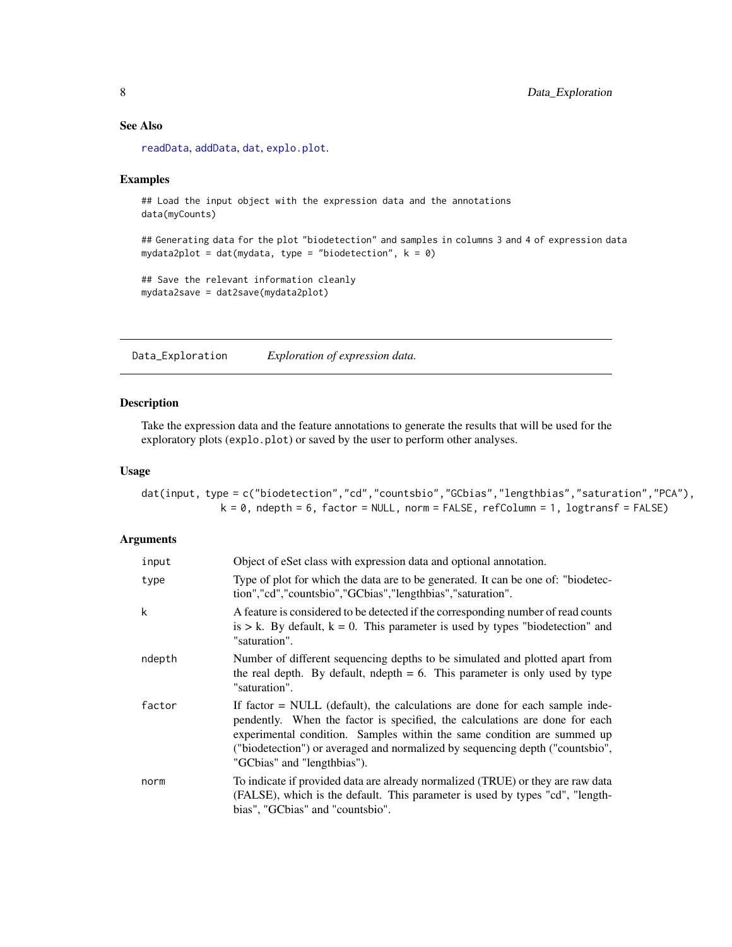## <span id="page-7-0"></span>See Also

[readData](#page-26-1), [addData](#page-26-2), [dat](#page-7-1), [explo.plot](#page-11-1).

#### Examples

```
## Load the input object with the expression data and the annotations
data(myCounts)
```
## Generating data for the plot "biodetection" and samples in columns 3 and 4 of expression data mydata2plot = dat(mydata, type = "biodetection",  $k = 0$ )

```
## Save the relevant information cleanly
mydata2save = dat2save(mydata2plot)
```
Data\_Exploration *Exploration of expression data.*

#### <span id="page-7-1"></span>Description

Take the expression data and the feature annotations to generate the results that will be used for the exploratory plots (explo.plot) or saved by the user to perform other analyses.

#### Usage

dat(input, type = c("biodetection","cd","countsbio","GCbias","lengthbias","saturation","PCA"),  $k = 0$ , ndepth = 6, factor = NULL, norm = FALSE, refColumn = 1, logtransf = FALSE)

| input  | Object of eSet class with expression data and optional annotation.                                                                                                                                                                                                                                                                                      |
|--------|---------------------------------------------------------------------------------------------------------------------------------------------------------------------------------------------------------------------------------------------------------------------------------------------------------------------------------------------------------|
| type   | Type of plot for which the data are to be generated. It can be one of: "biodetec-<br>tion","cd","countsbio","GCbias","lengthbias","saturation".                                                                                                                                                                                                         |
| k      | A feature is considered to be detected if the corresponding number of read counts<br>is $> k$ . By default, $k = 0$ . This parameter is used by types "biodetection" and<br>"saturation".                                                                                                                                                               |
| ndepth | Number of different sequencing depths to be simulated and plotted apart from<br>the real depth. By default, ndepth $= 6$ . This parameter is only used by type<br>"saturation".                                                                                                                                                                         |
| factor | If factor $=$ NULL (default), the calculations are done for each sample inde-<br>pendently. When the factor is specified, the calculations are done for each<br>experimental condition. Samples within the same condition are summed up<br>("biodetection") or averaged and normalized by sequencing depth ("countsbio",<br>"GCbias" and "lengthbias"). |
| norm   | To indicate if provided data are already normalized (TRUE) or they are raw data<br>(FALSE), which is the default. This parameter is used by types "cd", "length-<br>bias", "GCbias" and "countsbio".                                                                                                                                                    |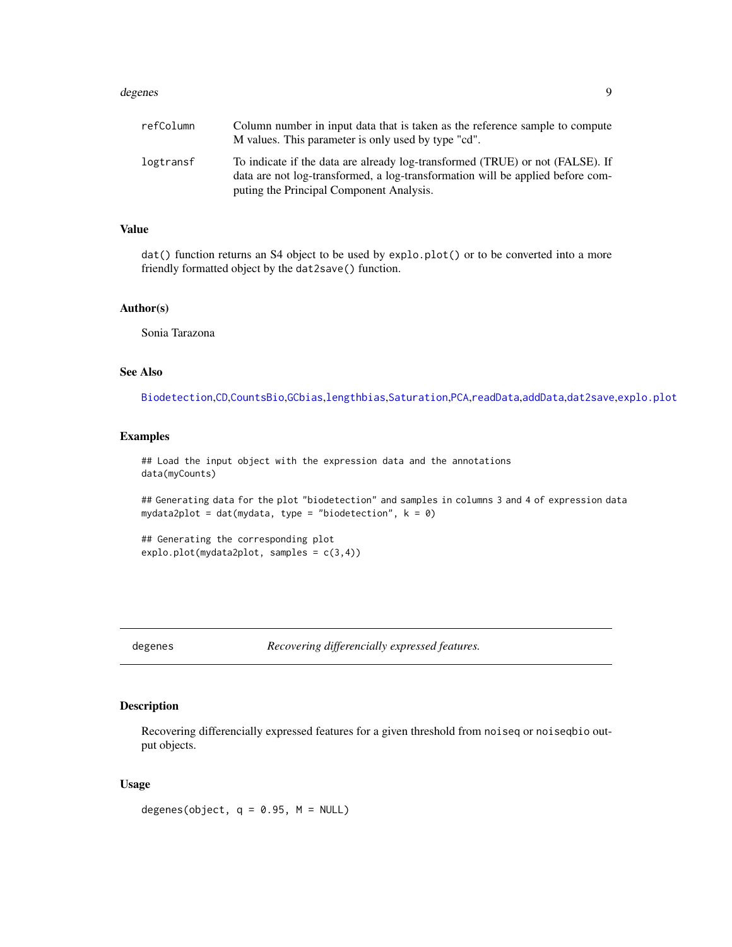#### <span id="page-8-0"></span>degenes to the control of the control of the control of the control of the control of the control of the control of the control of the control of the control of the control of the control of the control of the control of t

## Value

dat() function returns an S4 object to be used by explo.plot() or to be converted into a more friendly formatted object by the dat2save() function.

#### Author(s)

Sonia Tarazona

## See Also

[Biodetection](#page-3-1),[CD](#page-4-1),[CountsBio](#page-5-1),[GCbias](#page-13-1),[lengthbias](#page-15-1),[Saturation](#page-27-1),[PCA](#page-23-1),[readData](#page-26-1),[addData](#page-26-2),[dat2save](#page-6-1),[explo.plot](#page-11-1)

#### Examples

## Load the input object with the expression data and the annotations data(myCounts)

## Generating data for the plot "biodetection" and samples in columns 3 and 4 of expression data mydata2plot = dat(mydata, type = "biodetection",  $k = 0$ )

## Generating the corresponding plot explo.plot(mydata2plot, samples = c(3,4))

<span id="page-8-1"></span>

degenes *Recovering differencially expressed features.*

#### Description

Recovering differencially expressed features for a given threshold from noiseq or noiseqbio output objects.

#### Usage

degenes(object,  $q = 0.95$ ,  $M = NULL$ )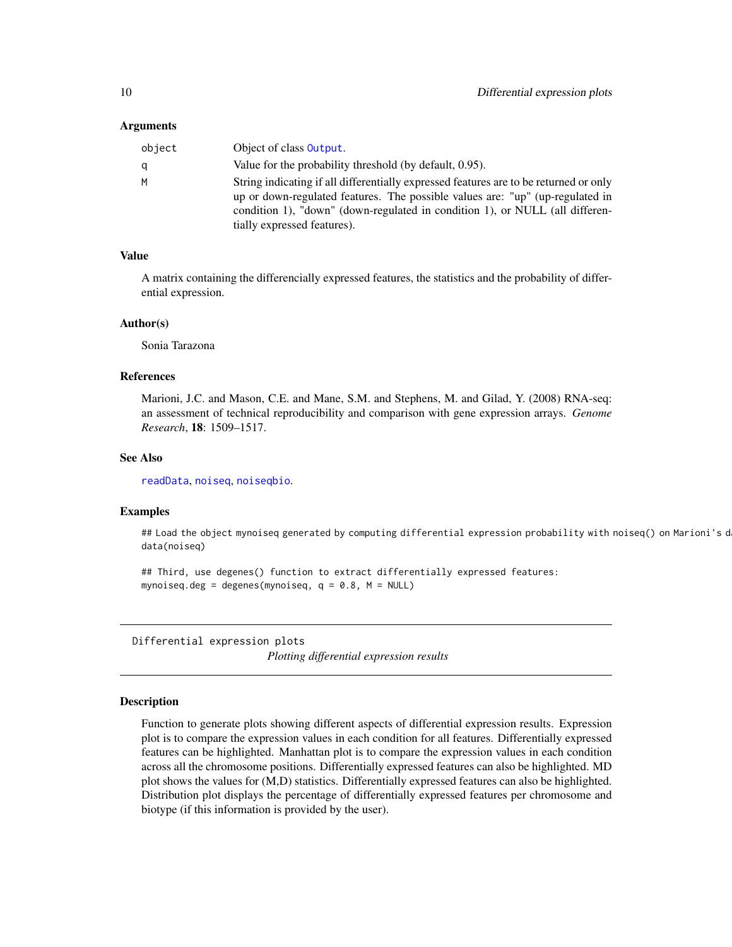#### <span id="page-9-0"></span>Arguments

| object | Object of class <b>Output</b> .                                                       |
|--------|---------------------------------------------------------------------------------------|
|        | Value for the probability threshold (by default, 0.95).                               |
| м      | String indicating if all differentially expressed features are to be returned or only |
|        | up or down-regulated features. The possible values are: "up" (up-regulated in         |
|        | condition 1), "down" (down-regulated in condition 1), or NULL (all differen-          |
|        | tially expressed features).                                                           |

## Value

A matrix containing the differencially expressed features, the statistics and the probability of differential expression.

#### Author(s)

Sonia Tarazona

## References

Marioni, J.C. and Mason, C.E. and Mane, S.M. and Stephens, M. and Gilad, Y. (2008) RNA-seq: an assessment of technical reproducibility and comparison with gene expression arrays. *Genome Research*, 18: 1509–1517.

#### See Also

[readData](#page-26-1), [noiseq](#page-17-1), [noiseqbio](#page-18-1).

## Examples

## Load the object mynoiseq generated by computing differential expression probability with noiseq() on Marioni's d data(noiseq)

## Third, use degenes() function to extract differentially expressed features: mynoiseq.deg = degenes(mynoiseq,  $q = 0.8$ ,  $M = NULL$ )

Differential expression plots *Plotting differential expression results*

## Description

Function to generate plots showing different aspects of differential expression results. Expression plot is to compare the expression values in each condition for all features. Differentially expressed features can be highlighted. Manhattan plot is to compare the expression values in each condition across all the chromosome positions. Differentially expressed features can also be highlighted. MD plot shows the values for (M,D) statistics. Differentially expressed features can also be highlighted. Distribution plot displays the percentage of differentially expressed features per chromosome and biotype (if this information is provided by the user).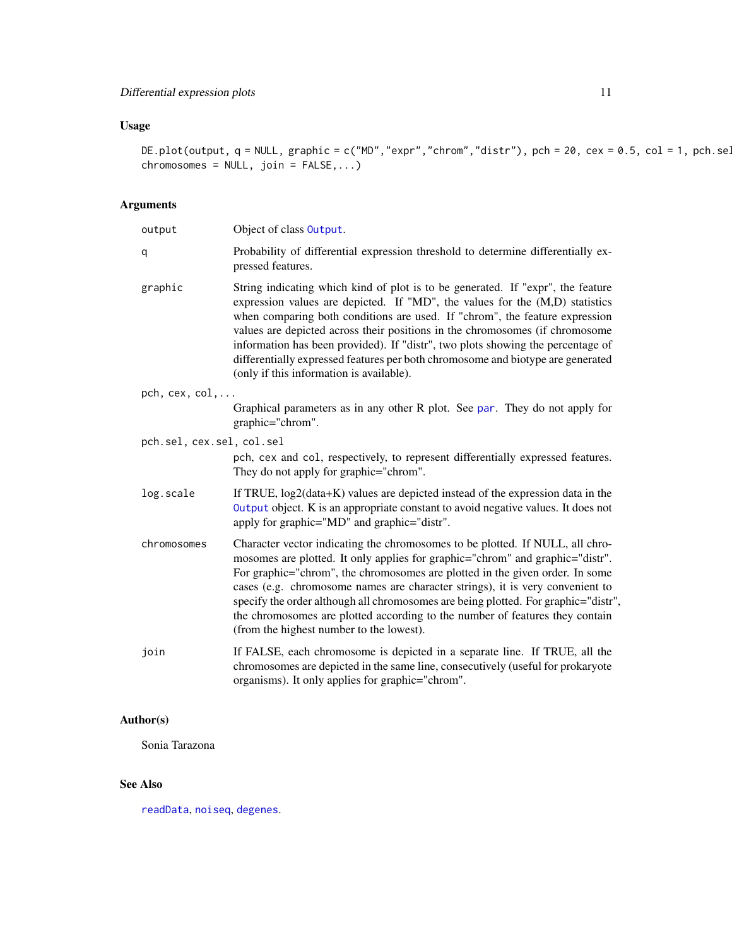## <span id="page-10-0"></span>Usage

DE.plot(output,  $q = NULL$ , graphic = c("MD","expr","chrom","distr"), pch = 20, cex = 0.5, col = 1, pch.sel  $chromosomes = NULL, join = FALSE, ...)$ 

## Arguments

| output                    | Object of class Output.                                                                                                                                                                                                                                                                                                                                                                                                                                                                                                                           |
|---------------------------|---------------------------------------------------------------------------------------------------------------------------------------------------------------------------------------------------------------------------------------------------------------------------------------------------------------------------------------------------------------------------------------------------------------------------------------------------------------------------------------------------------------------------------------------------|
| q                         | Probability of differential expression threshold to determine differentially ex-<br>pressed features.                                                                                                                                                                                                                                                                                                                                                                                                                                             |
| graphic                   | String indicating which kind of plot is to be generated. If "expr", the feature<br>expression values are depicted. If "MD", the values for the (M,D) statistics<br>when comparing both conditions are used. If "chrom", the feature expression<br>values are depicted across their positions in the chromosomes (if chromosome<br>information has been provided). If "distr", two plots showing the percentage of<br>differentially expressed features per both chromosome and biotype are generated<br>(only if this information is available).  |
| $pch, cex, col, \ldots$   |                                                                                                                                                                                                                                                                                                                                                                                                                                                                                                                                                   |
|                           | Graphical parameters as in any other R plot. See par. They do not apply for<br>graphic="chrom".                                                                                                                                                                                                                                                                                                                                                                                                                                                   |
| pch.sel, cex.sel, col.sel |                                                                                                                                                                                                                                                                                                                                                                                                                                                                                                                                                   |
|                           | pch, cex and col, respectively, to represent differentially expressed features.<br>They do not apply for graphic="chrom".                                                                                                                                                                                                                                                                                                                                                                                                                         |
| log.scale                 | If TRUE, $log2(data+K)$ values are depicted instead of the expression data in the<br>Output object. K is an appropriate constant to avoid negative values. It does not<br>apply for graphic="MD" and graphic="distr".                                                                                                                                                                                                                                                                                                                             |
| chromosomes               | Character vector indicating the chromosomes to be plotted. If NULL, all chro-<br>mosomes are plotted. It only applies for graphic="chrom" and graphic="distr".<br>For graphic="chrom", the chromosomes are plotted in the given order. In some<br>cases (e.g. chromosome names are character strings), it is very convenient to<br>specify the order although all chromosomes are being plotted. For graphic="distr",<br>the chromosomes are plotted according to the number of features they contain<br>(from the highest number to the lowest). |
| join                      | If FALSE, each chromosome is depicted in a separate line. If TRUE, all the<br>chromosomes are depicted in the same line, consecutively (useful for prokaryote<br>organisms). It only applies for graphic="chrom".                                                                                                                                                                                                                                                                                                                                 |

## Author(s)

Sonia Tarazona

## See Also

[readData](#page-26-1), [noiseq](#page-17-1), [degenes](#page-8-1).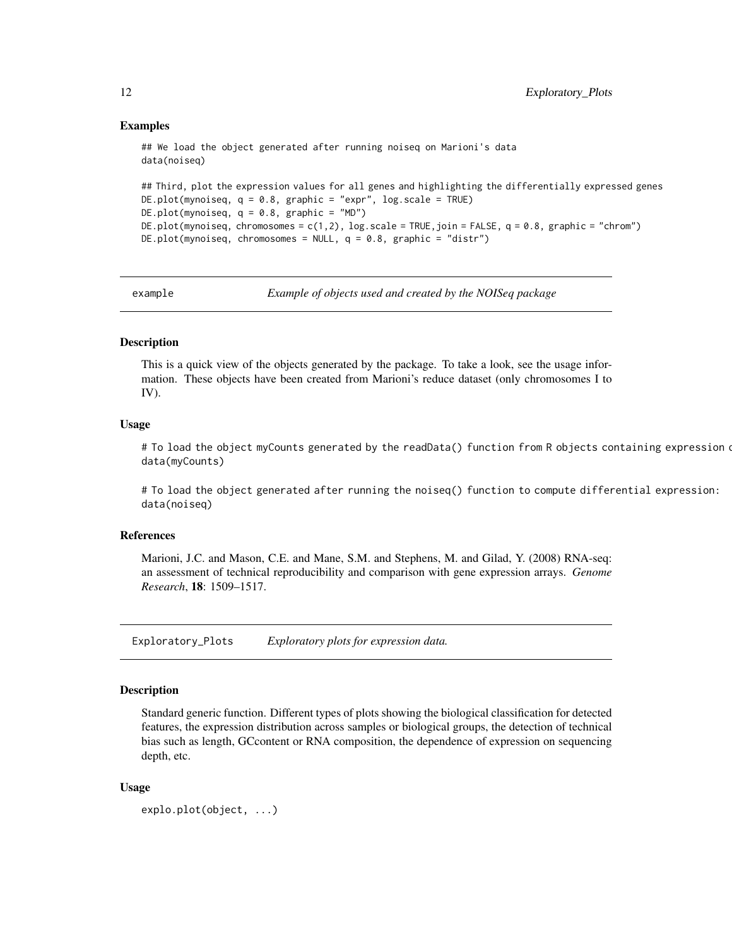#### Examples

```
## We load the object generated after running noiseq on Marioni's data
data(noiseq)
## Third, plot the expression values for all genes and highlighting the differentially expressed genes
DE.plot(mynoiseq, q = 0.8, graphic = "expr", log.scale = TRUE)
DE.plot(mynoiseq, q = 0.8, graphic = "MD")DE.plot(mynoiseq, chromosomes = c(1,2), log.scale = TRUE,join = FALSE, q = 0.8, graphic = "chrom")
DE.plot(mynoiseq, chromosomes = NULL, q = 0.8, graphic = "distr")
```
example *Example of objects used and created by the NOISeq package*

## **Description**

This is a quick view of the objects generated by the package. To take a look, see the usage information. These objects have been created from Marioni's reduce dataset (only chromosomes I to IV).

#### Usage

# To load the object myCounts generated by the readData() function from R objects containing expression o data(myCounts)

# To load the object generated after running the noiseq() function to compute differential expression: data(noiseq)

#### References

Marioni, J.C. and Mason, C.E. and Mane, S.M. and Stephens, M. and Gilad, Y. (2008) RNA-seq: an assessment of technical reproducibility and comparison with gene expression arrays. *Genome Research*, 18: 1509–1517.

Exploratory\_Plots *Exploratory plots for expression data.*

#### <span id="page-11-1"></span>Description

Standard generic function. Different types of plots showing the biological classification for detected features, the expression distribution across samples or biological groups, the detection of technical bias such as length, GCcontent or RNA composition, the dependence of expression on sequencing depth, etc.

#### Usage

```
explo.plot(object, ...)
```
<span id="page-11-0"></span>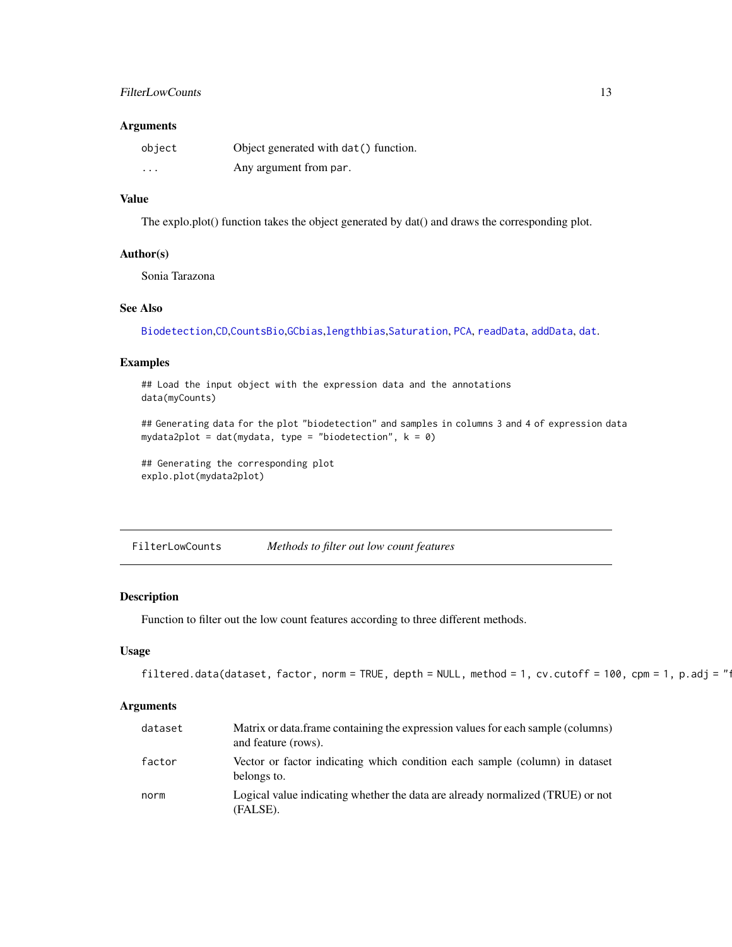## <span id="page-12-0"></span>FilterLowCounts 13

#### Arguments

| object   | Object generated with dat () function. |
|----------|----------------------------------------|
| $\cdots$ | Any argument from par.                 |

## Value

The explo.plot() function takes the object generated by dat() and draws the corresponding plot.

#### Author(s)

Sonia Tarazona

## See Also

[Biodetection](#page-3-1),[CD](#page-4-1),[CountsBio](#page-5-1),[GCbias](#page-13-1),[lengthbias](#page-15-1),[Saturation](#page-27-1), [PCA](#page-23-1), [readData](#page-26-1), [addData](#page-26-2), [dat](#page-7-1).

## Examples

## Load the input object with the expression data and the annotations data(myCounts)

```
## Generating data for the plot "biodetection" and samples in columns 3 and 4 of expression data
mydata2plot = dat(mydata, type = "biodetection", k = 0)
```
## Generating the corresponding plot explo.plot(mydata2plot)

FilterLowCounts *Methods to filter out low count features*

#### Description

Function to filter out the low count features according to three different methods.

#### Usage

```
filtered.data(dataset, factor, norm = TRUE, depth = NULL, method = 1, cv.cutoff = 100, cpm = 1, p.adj = "\cdot
```

| dataset | Matrix or data.frame containing the expression values for each sample (columns)<br>and feature (rows). |
|---------|--------------------------------------------------------------------------------------------------------|
| factor  | Vector or factor indicating which condition each sample (column) in dataset<br>belongs to.             |
| norm    | Logical value indicating whether the data are already normalized (TRUE) or not<br>(FALSE).             |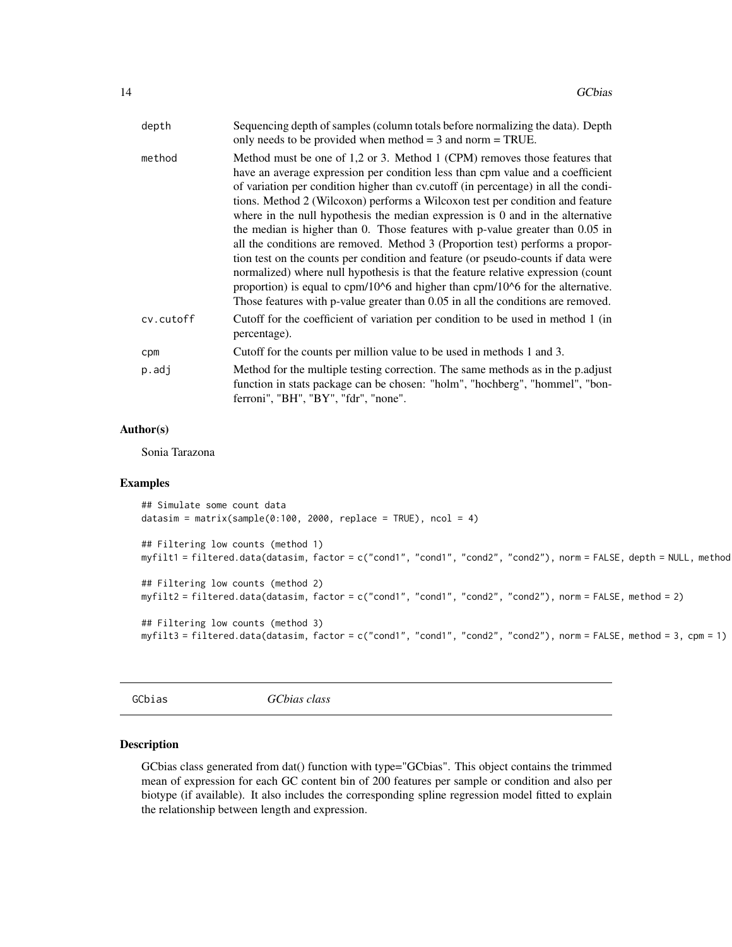<span id="page-13-0"></span>

| depth     | Sequencing depth of samples (column totals before normalizing the data). Depth<br>only needs to be provided when method $=$ 3 and norm $=$ TRUE.                                                                                                                                                                                                                                                                                                                                                                                                                                                                                                                                                                                                                                                                                                                                                                                          |
|-----------|-------------------------------------------------------------------------------------------------------------------------------------------------------------------------------------------------------------------------------------------------------------------------------------------------------------------------------------------------------------------------------------------------------------------------------------------------------------------------------------------------------------------------------------------------------------------------------------------------------------------------------------------------------------------------------------------------------------------------------------------------------------------------------------------------------------------------------------------------------------------------------------------------------------------------------------------|
| method    | Method must be one of 1,2 or 3. Method 1 (CPM) removes those features that<br>have an average expression per condition less than cpm value and a coefficient<br>of variation per condition higher than cv.cutoff (in percentage) in all the condi-<br>tions. Method 2 (Wilcoxon) performs a Wilcoxon test per condition and feature<br>where in the null hypothesis the median expression is $0$ and in the alternative<br>the median is higher than 0. Those features with p-value greater than 0.05 in<br>all the conditions are removed. Method 3 (Proportion test) performs a propor-<br>tion test on the counts per condition and feature (or pseudo-counts if data were<br>normalized) where null hypothesis is that the feature relative expression (count<br>proportion) is equal to $cpm/106$ and higher than $cpm/106$ for the alternative.<br>Those features with p-value greater than 0.05 in all the conditions are removed. |
| cv.cutoff | Cutoff for the coefficient of variation per condition to be used in method 1 (in<br>percentage).                                                                                                                                                                                                                                                                                                                                                                                                                                                                                                                                                                                                                                                                                                                                                                                                                                          |
| cpm       | Cutoff for the counts per million value to be used in methods 1 and 3.                                                                                                                                                                                                                                                                                                                                                                                                                                                                                                                                                                                                                                                                                                                                                                                                                                                                    |
| $p.add$ j | Method for the multiple testing correction. The same methods as in the p.adjust<br>function in stats package can be chosen: "holm", "hochberg", "hommel", "bon-<br>ferroni", "BH", "BY", "fdr", "none".                                                                                                                                                                                                                                                                                                                                                                                                                                                                                                                                                                                                                                                                                                                                   |

## Author(s)

Sonia Tarazona

#### Examples

```
## Simulate some count data
datasim = matrix(sample(0:100, 2000, replace = TRUE), ncol = 4)
## Filtering low counts (method 1)
myfilt1 = filtered.data(datasim, factor = c("cond1", "cond1", "cond2", "cond2"), norm = FALSE, depth = NULL, method
## Filtering low counts (method 2)
myfilt2 = filtered.data(datasim, factor = c("cond1", "cond1", "cond2", "cond2"), norm = FALSE, method = 2)
## Filtering low counts (method 3)
myfilt3 = filtered.data(datasim, factor = c("cond1", "cond1", "cond2", "cond2"), norm = FALSE, method = 3, cpm = 1)
```
<span id="page-13-1"></span>GCbias *GCbias class*

#### Description

GCbias class generated from dat() function with type="GCbias". This object contains the trimmed mean of expression for each GC content bin of 200 features per sample or condition and also per biotype (if available). It also includes the corresponding spline regression model fitted to explain the relationship between length and expression.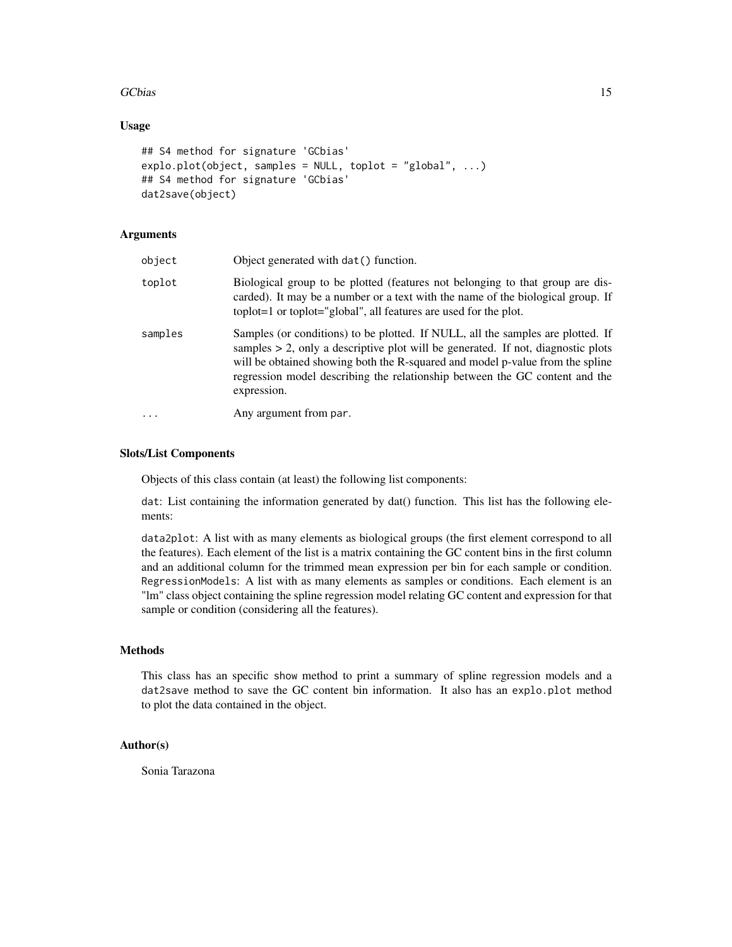#### GCbias 15

## Usage

```
## S4 method for signature 'GCbias'
explo.plot(object, samples = NULL, toplot = "global", ...)
## S4 method for signature 'GCbias'
dat2save(object)
```
#### Arguments

| object  | Object generated with dat () function.                                                                                                                                                                                                                                                                                                                |
|---------|-------------------------------------------------------------------------------------------------------------------------------------------------------------------------------------------------------------------------------------------------------------------------------------------------------------------------------------------------------|
| toplot  | Biological group to be plotted (features not belonging to that group are dis-<br>carded). It may be a number or a text with the name of the biological group. If<br>toplot=1 or toplot="global", all features are used for the plot.                                                                                                                  |
| samples | Samples (or conditions) to be plotted. If NULL, all the samples are plotted. If<br>samples $> 2$ , only a descriptive plot will be generated. If not, diagnostic plots<br>will be obtained showing both the R-squared and model p-value from the spline<br>regression model describing the relationship between the GC content and the<br>expression. |
| .       | Any argument from par.                                                                                                                                                                                                                                                                                                                                |

#### Slots/List Components

Objects of this class contain (at least) the following list components:

dat: List containing the information generated by dat() function. This list has the following elements:

data2plot: A list with as many elements as biological groups (the first element correspond to all the features). Each element of the list is a matrix containing the GC content bins in the first column and an additional column for the trimmed mean expression per bin for each sample or condition. RegressionModels: A list with as many elements as samples or conditions. Each element is an "lm" class object containing the spline regression model relating GC content and expression for that sample or condition (considering all the features).

## Methods

This class has an specific show method to print a summary of spline regression models and a dat2save method to save the GC content bin information. It also has an explo.plot method to plot the data contained in the object.

#### Author(s)

Sonia Tarazona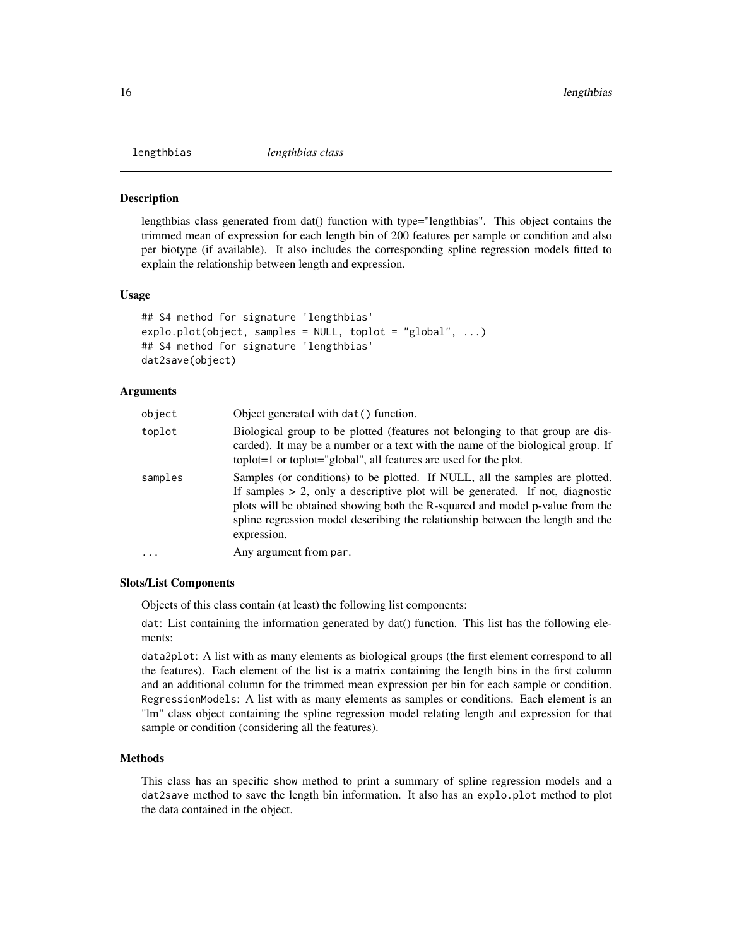<span id="page-15-1"></span><span id="page-15-0"></span>

#### **Description**

lengthbias class generated from dat() function with type="lengthbias". This object contains the trimmed mean of expression for each length bin of 200 features per sample or condition and also per biotype (if available). It also includes the corresponding spline regression models fitted to explain the relationship between length and expression.

#### Usage

```
## S4 method for signature 'lengthbias'
explo.plot(object, samples = NULL, toplot = "global", ...)## S4 method for signature 'lengthbias'
dat2save(object)
```
#### Arguments

| object    | Object generated with dat () function.                                                                                                                                                                                                                                                                                                            |
|-----------|---------------------------------------------------------------------------------------------------------------------------------------------------------------------------------------------------------------------------------------------------------------------------------------------------------------------------------------------------|
| toplot    | Biological group to be plotted (features not belonging to that group are dis-<br>carded). It may be a number or a text with the name of the biological group. If<br>toplot=1 or toplot="global", all features are used for the plot.                                                                                                              |
| samples   | Samples (or conditions) to be plotted. If NULL, all the samples are plotted.<br>If samples $> 2$ , only a descriptive plot will be generated. If not, diagnostic<br>plots will be obtained showing both the R-squared and model p-value from the<br>spline regression model describing the relationship between the length and the<br>expression. |
| $\ddotsc$ | Any argument from par.                                                                                                                                                                                                                                                                                                                            |

#### Slots/List Components

Objects of this class contain (at least) the following list components:

dat: List containing the information generated by dat() function. This list has the following elements:

data2plot: A list with as many elements as biological groups (the first element correspond to all the features). Each element of the list is a matrix containing the length bins in the first column and an additional column for the trimmed mean expression per bin for each sample or condition. RegressionModels: A list with as many elements as samples or conditions. Each element is an "lm" class object containing the spline regression model relating length and expression for that sample or condition (considering all the features).

## Methods

This class has an specific show method to print a summary of spline regression models and a dat2save method to save the length bin information. It also has an explo.plot method to plot the data contained in the object.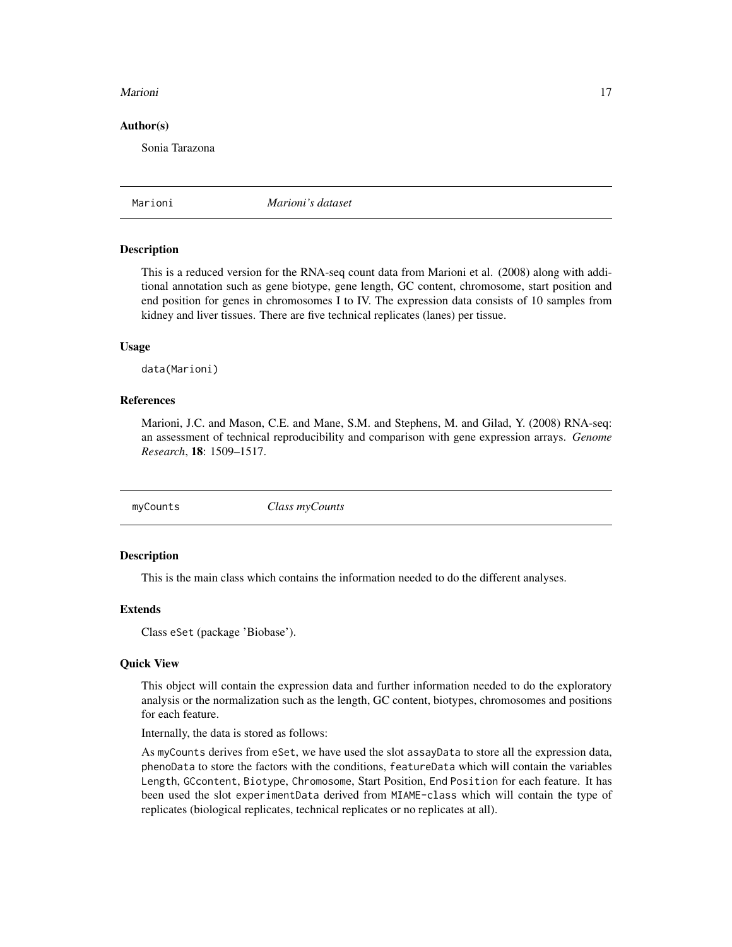#### <span id="page-16-0"></span>Marioni **17**

#### Author(s)

Sonia Tarazona

Marioni *Marioni's dataset*

#### Description

This is a reduced version for the RNA-seq count data from Marioni et al. (2008) along with additional annotation such as gene biotype, gene length, GC content, chromosome, start position and end position for genes in chromosomes I to IV. The expression data consists of 10 samples from kidney and liver tissues. There are five technical replicates (lanes) per tissue.

#### Usage

data(Marioni)

#### References

Marioni, J.C. and Mason, C.E. and Mane, S.M. and Stephens, M. and Gilad, Y. (2008) RNA-seq: an assessment of technical reproducibility and comparison with gene expression arrays. *Genome Research*, 18: 1509–1517.

<span id="page-16-1"></span>

myCounts *Class myCounts*

#### Description

This is the main class which contains the information needed to do the different analyses.

#### Extends

Class eSet (package 'Biobase').

## Quick View

This object will contain the expression data and further information needed to do the exploratory analysis or the normalization such as the length, GC content, biotypes, chromosomes and positions for each feature.

Internally, the data is stored as follows:

As myCounts derives from eSet, we have used the slot assayData to store all the expression data, phenoData to store the factors with the conditions, featureData which will contain the variables Length, GCcontent, Biotype, Chromosome, Start Position, End Position for each feature. It has been used the slot experimentData derived from MIAME-class which will contain the type of replicates (biological replicates, technical replicates or no replicates at all).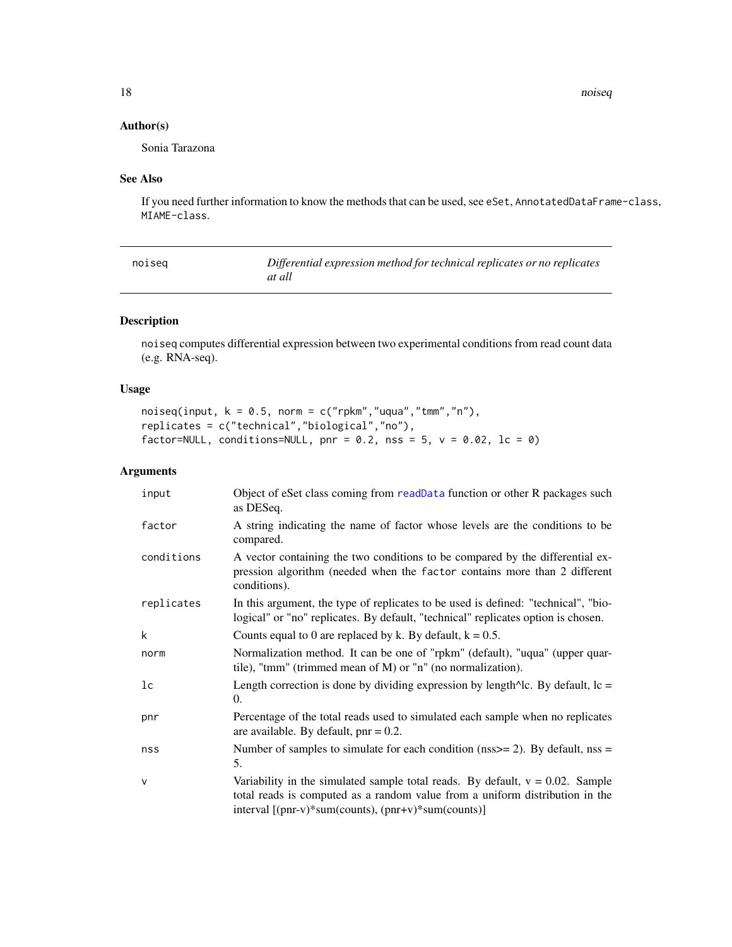<span id="page-17-0"></span>18 noiseann an t-Italia. Tha ann am t-Italia ann am t-Italia ann am t-Italia. Tha ann am t-Italia ann am t-Italia ann am t-Italia. Tha ann am t-Italia ann am t-Italia ann am t-Italia ann am t-Italia. Tha ann am t-Italia an

## Author(s)

Sonia Tarazona

## See Also

If you need further information to know the methods that can be used, see eSet, AnnotatedDataFrame-class, MIAME-class.

<span id="page-17-1"></span>

| noiseg | Differential expression method for technical replicates or no replicates |
|--------|--------------------------------------------------------------------------|
|        | at all                                                                   |

## Description

noiseq computes differential expression between two experimental conditions from read count data (e.g. RNA-seq).

## Usage

```
noiseq(input, k = 0.5, norm = c("rpkm","uqua","tmm","n"),
replicates = c("technical","biological","no"),
factor=NULL, conditions=NULL, pnr = 0.2, nss = 5, v = 0.02, lc = 0)
```

| input          | Object of eSet class coming from readData function or other R packages such<br>as DESeq.                                                                                                                                |
|----------------|-------------------------------------------------------------------------------------------------------------------------------------------------------------------------------------------------------------------------|
| factor         | A string indicating the name of factor whose levels are the conditions to be<br>compared.                                                                                                                               |
| conditions     | A vector containing the two conditions to be compared by the differential ex-<br>pression algorithm (needed when the factor contains more than 2 different<br>conditions).                                              |
| replicates     | In this argument, the type of replicates to be used is defined: "technical", "bio-<br>logical" or "no" replicates. By default, "technical" replicates option is chosen.                                                 |
| k              | Counts equal to 0 are replaced by k. By default, $k = 0.5$ .                                                                                                                                                            |
| norm           | Normalization method. It can be one of "rpkm" (default), "uqua" (upper quar-<br>tile), "tmm" (trimmed mean of M) or "n" (no normalization).                                                                             |
| 1 <sub>c</sub> | Length correction is done by dividing expression by length $\Delta$ lc. By default, lc =<br>0.                                                                                                                          |
| pnr            | Percentage of the total reads used to simulated each sample when no replicates<br>are available. By default, $pnr = 0.2$ .                                                                                              |
| nss            | Number of samples to simulate for each condition ( $nss$ = 2). By default, $nss$ =<br>5.                                                                                                                                |
| $\mathsf{V}$   | Variability in the simulated sample total reads. By default, $v = 0.02$ . Sample<br>total reads is computed as a random value from a uniform distribution in the<br>interval [(pnr-v)*sum(counts), (pnr+v)*sum(counts)] |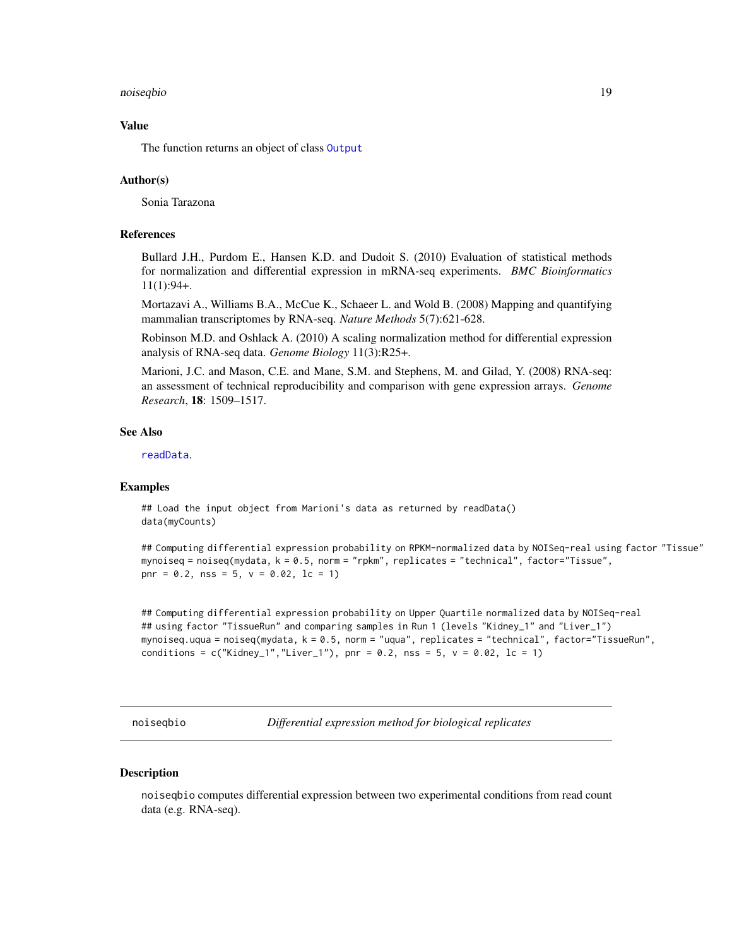#### <span id="page-18-0"></span>noiseqbio 19

#### Value

The function returns an object of class [Output](#page-22-1)

#### Author(s)

Sonia Tarazona

#### References

Bullard J.H., Purdom E., Hansen K.D. and Dudoit S. (2010) Evaluation of statistical methods for normalization and differential expression in mRNA-seq experiments. *BMC Bioinformatics* 11(1):94+.

Mortazavi A., Williams B.A., McCue K., Schaeer L. and Wold B. (2008) Mapping and quantifying mammalian transcriptomes by RNA-seq. *Nature Methods* 5(7):621-628.

Robinson M.D. and Oshlack A. (2010) A scaling normalization method for differential expression analysis of RNA-seq data. *Genome Biology* 11(3):R25+.

Marioni, J.C. and Mason, C.E. and Mane, S.M. and Stephens, M. and Gilad, Y. (2008) RNA-seq: an assessment of technical reproducibility and comparison with gene expression arrays. *Genome Research*, 18: 1509–1517.

#### See Also

[readData](#page-26-1).

#### Examples

## Load the input object from Marioni's data as returned by readData() data(myCounts)

## Computing differential expression probability on RPKM-normalized data by NOISeq-real using factor "Tissue" mynoiseq = noiseq(mydata, k = 0.5, norm = "rpkm", replicates = "technical", factor="Tissue", pnr =  $0.2$ , nss =  $5$ ,  $v = 0.02$ , lc = 1)

## Computing differential expression probability on Upper Quartile normalized data by NOISeq-real ## using factor "TissueRun" and comparing samples in Run 1 (levels "Kidney\_1" and "Liver\_1") mynoiseq.uqua = noiseq(mydata, k = 0.5, norm = "uqua", replicates = "technical", factor="TissueRun", conditions =  $c("Kidney_1", "Liver_1"), pnr = 0.2, nss = 5, v = 0.02, lc = 1)$ 

<span id="page-18-1"></span>noiseqbio *Differential expression method for biological replicates*

#### **Description**

noiseqbio computes differential expression between two experimental conditions from read count data (e.g. RNA-seq).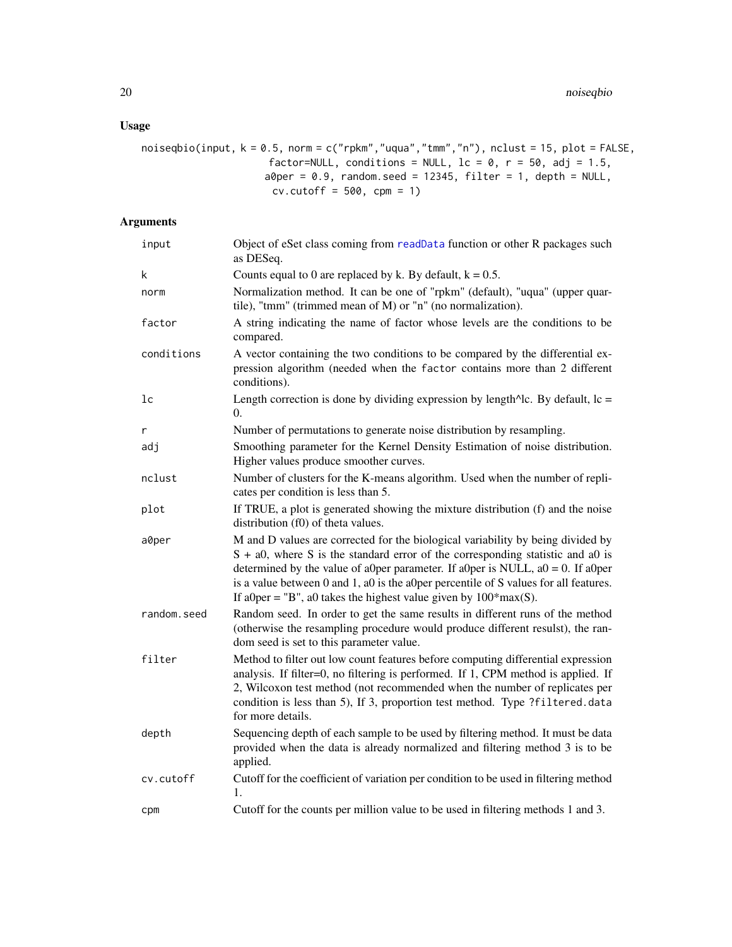## Usage

```
noiseqbio(input, k = 0.5, norm = c("rpkm","uqua","tmm","n"), nclust = 15, plot = FALSE,
                      factor=NULL, conditions = NULL, lc = 0, r = 50, adj = 1.5,
                     a\thetaper = 0.9, random.seed = 12345, filter = 1, depth = NULL,
                      cv.cutoff = 500, cm = 1)
```

| input         | Object of eSet class coming from readData function or other R packages such<br>as DESeq.                                                                                                                                                                                                                                                                                                                                |
|---------------|-------------------------------------------------------------------------------------------------------------------------------------------------------------------------------------------------------------------------------------------------------------------------------------------------------------------------------------------------------------------------------------------------------------------------|
| k             | Counts equal to 0 are replaced by k. By default, $k = 0.5$ .                                                                                                                                                                                                                                                                                                                                                            |
| norm          | Normalization method. It can be one of "rpkm" (default), "uqua" (upper quar-<br>tile), "tmm" (trimmed mean of M) or "n" (no normalization).                                                                                                                                                                                                                                                                             |
| factor        | A string indicating the name of factor whose levels are the conditions to be<br>compared.                                                                                                                                                                                                                                                                                                                               |
| conditions    | A vector containing the two conditions to be compared by the differential ex-<br>pression algorithm (needed when the factor contains more than 2 different<br>conditions).                                                                                                                                                                                                                                              |
| $1\mathrm{c}$ | Length correction is done by dividing expression by length $\triangle$ lc. By default, lc =<br>$\overline{0}$ .                                                                                                                                                                                                                                                                                                         |
| r             | Number of permutations to generate noise distribution by resampling.                                                                                                                                                                                                                                                                                                                                                    |
| adj           | Smoothing parameter for the Kernel Density Estimation of noise distribution.<br>Higher values produce smoother curves.                                                                                                                                                                                                                                                                                                  |
| nclust        | Number of clusters for the K-means algorithm. Used when the number of repli-<br>cates per condition is less than 5.                                                                                                                                                                                                                                                                                                     |
| plot          | If TRUE, a plot is generated showing the mixture distribution (f) and the noise<br>distribution (f0) of theta values.                                                                                                                                                                                                                                                                                                   |
| a0per         | M and D values are corrected for the biological variability by being divided by<br>$S + a0$ , where S is the standard error of the corresponding statistic and a0 is<br>determined by the value of a0per parameter. If a0per is NULL, $a0 = 0$ . If a0per<br>is a value between 0 and 1, a0 is the a0per percentile of S values for all features.<br>If a0per = "B", a0 takes the highest value given by $100*max(S)$ . |
| random.seed   | Random seed. In order to get the same results in different runs of the method<br>(otherwise the resampling procedure would produce different resulst), the ran-<br>dom seed is set to this parameter value.                                                                                                                                                                                                             |
| filter        | Method to filter out low count features before computing differential expression<br>analysis. If filter=0, no filtering is performed. If 1, CPM method is applied. If<br>2, Wilcoxon test method (not recommended when the number of replicates per<br>condition is less than 5), If 3, proportion test method. Type ?filtered.data<br>for more details.                                                                |
| depth         | Sequencing depth of each sample to be used by filtering method. It must be data<br>provided when the data is already normalized and filtering method 3 is to be<br>applied.                                                                                                                                                                                                                                             |
| cv.cutoff     | Cutoff for the coefficient of variation per condition to be used in filtering method<br>1.                                                                                                                                                                                                                                                                                                                              |
| cpm           | Cutoff for the counts per million value to be used in filtering methods 1 and 3.                                                                                                                                                                                                                                                                                                                                        |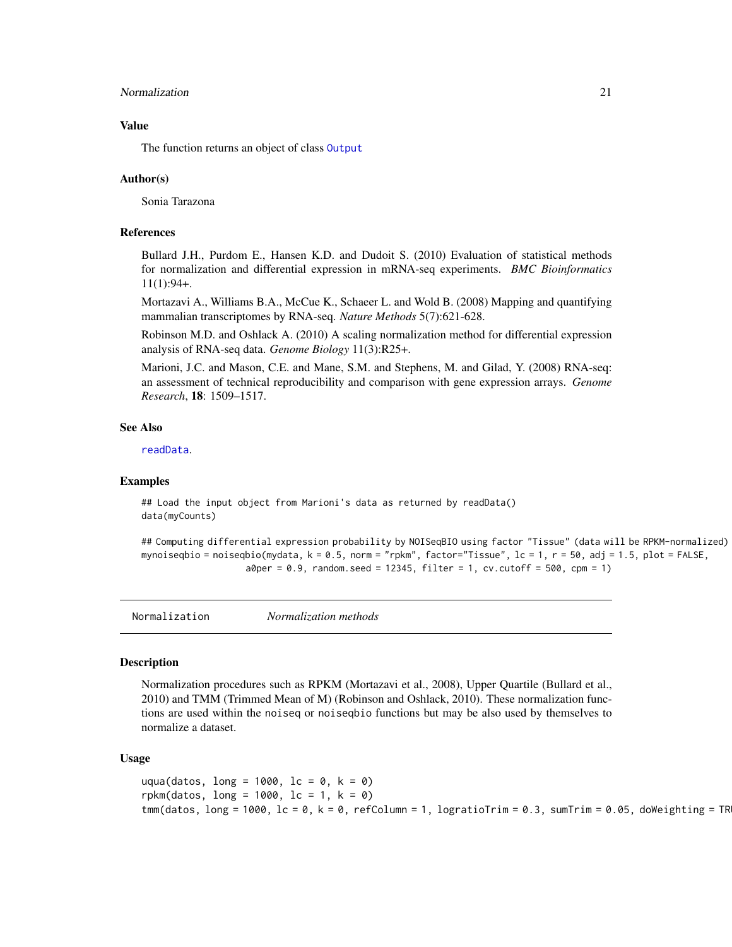#### <span id="page-20-0"></span>Normalization 21

## Value

The function returns an object of class [Output](#page-22-1)

#### Author(s)

Sonia Tarazona

#### References

Bullard J.H., Purdom E., Hansen K.D. and Dudoit S. (2010) Evaluation of statistical methods for normalization and differential expression in mRNA-seq experiments. *BMC Bioinformatics* 11(1):94+.

Mortazavi A., Williams B.A., McCue K., Schaeer L. and Wold B. (2008) Mapping and quantifying mammalian transcriptomes by RNA-seq. *Nature Methods* 5(7):621-628.

Robinson M.D. and Oshlack A. (2010) A scaling normalization method for differential expression analysis of RNA-seq data. *Genome Biology* 11(3):R25+.

Marioni, J.C. and Mason, C.E. and Mane, S.M. and Stephens, M. and Gilad, Y. (2008) RNA-seq: an assessment of technical reproducibility and comparison with gene expression arrays. *Genome Research*, 18: 1509–1517.

## See Also

[readData](#page-26-1).

#### Examples

```
## Load the input object from Marioni's data as returned by readData()
data(myCounts)
```

```
## Computing differential expression probability by NOISeqBIO using factor "Tissue" (data will be RPKM-normalized)
mynoiseqbio = noiseqbio(mydata, k = 0.5, norm = "rpkm", factor="Tissue", lc = 1, r = 50, adj = 1.5, plot = FALSE,
                    a0per = 0.9, random.seed = 12345, filter = 1, cv.cutoff = 500, cpm = 1)
```
Normalization *Normalization methods*

#### Description

Normalization procedures such as RPKM (Mortazavi et al., 2008), Upper Quartile (Bullard et al., 2010) and TMM (Trimmed Mean of M) (Robinson and Oshlack, 2010). These normalization functions are used within the noiseq or noiseqbio functions but may be also used by themselves to normalize a dataset.

#### Usage

```
uqua(datos, long = 1000, lc = 0, k = 0)
rpkm(datos, long = 1000, lc = 1, k = 0)
tmm(datos, long = 1000, lc = 0, k = 0, refColumn = 1, logratioTrim = 0.3, sumTrim = 0.05, doWeighting = TR
```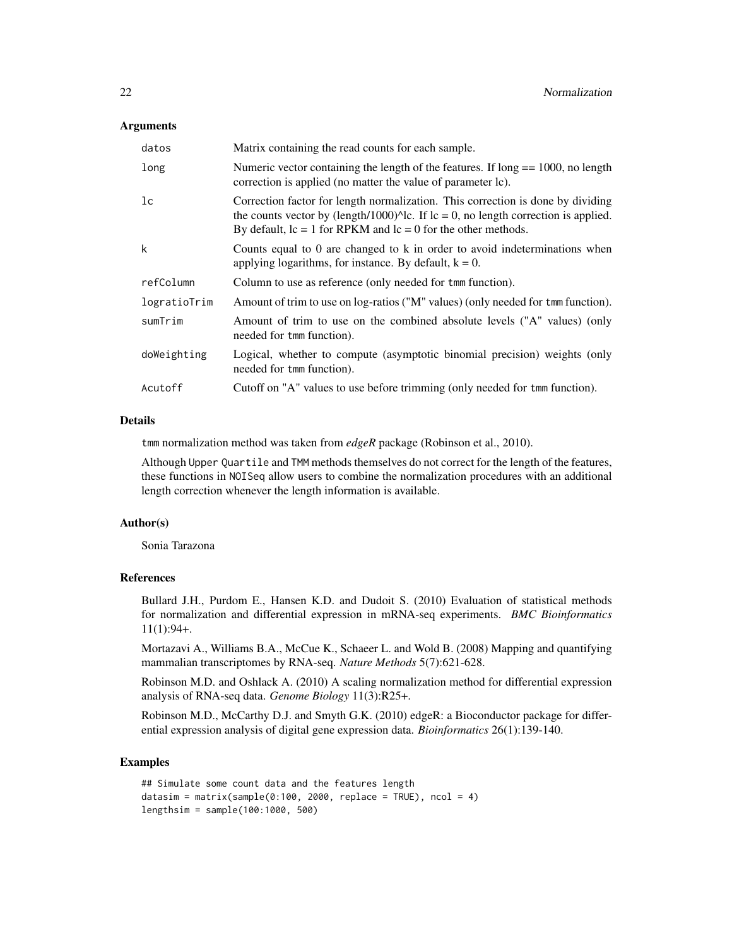#### **Arguments**

| datos        | Matrix containing the read counts for each sample.                                                                                                                                                                                                   |
|--------------|------------------------------------------------------------------------------------------------------------------------------------------------------------------------------------------------------------------------------------------------------|
| long         | Numeric vector containing the length of the features. If $long == 1000$ , no length<br>correction is applied (no matter the value of parameter lc).                                                                                                  |
| lc           | Correction factor for length normalization. This correction is done by dividing<br>the counts vector by (length/1000) $\text{A}$ c. If lc = 0, no length correction is applied.<br>By default, $lc = 1$ for RPKM and $lc = 0$ for the other methods. |
| k            | Counts equal to 0 are changed to k in order to avoid indeterminations when<br>applying logarithms, for instance. By default, $k = 0$ .                                                                                                               |
| refColumn    | Column to use as reference (only needed for tmm function).                                                                                                                                                                                           |
| logratioTrim | Amount of trim to use on log-ratios ("M" values) (only needed for tmm function).                                                                                                                                                                     |
| sumTrim      | Amount of trim to use on the combined absolute levels ("A" values) (only<br>needed for tmm function).                                                                                                                                                |
| doWeighting  | Logical, whether to compute (asymptotic binomial precision) weights (only<br>needed for tmm function).                                                                                                                                               |
| Acutoff      | Cutoff on "A" values to use before trimming (only needed for tmm function).                                                                                                                                                                          |

## Details

tmm normalization method was taken from *edgeR* package (Robinson et al., 2010).

Although Upper Quartile and TMM methods themselves do not correct for the length of the features, these functions in NOISeq allow users to combine the normalization procedures with an additional length correction whenever the length information is available.

#### Author(s)

Sonia Tarazona

## References

Bullard J.H., Purdom E., Hansen K.D. and Dudoit S. (2010) Evaluation of statistical methods for normalization and differential expression in mRNA-seq experiments. *BMC Bioinformatics* 11(1):94+.

Mortazavi A., Williams B.A., McCue K., Schaeer L. and Wold B. (2008) Mapping and quantifying mammalian transcriptomes by RNA-seq. *Nature Methods* 5(7):621-628.

Robinson M.D. and Oshlack A. (2010) A scaling normalization method for differential expression analysis of RNA-seq data. *Genome Biology* 11(3):R25+.

Robinson M.D., McCarthy D.J. and Smyth G.K. (2010) edgeR: a Bioconductor package for differential expression analysis of digital gene expression data. *Bioinformatics* 26(1):139-140.

## Examples

```
## Simulate some count data and the features length
datasim = matrix(sample(0:100, 2000, replace = TRUE), ncol = 4)
lengthsim = sample(100:1000, 500)
```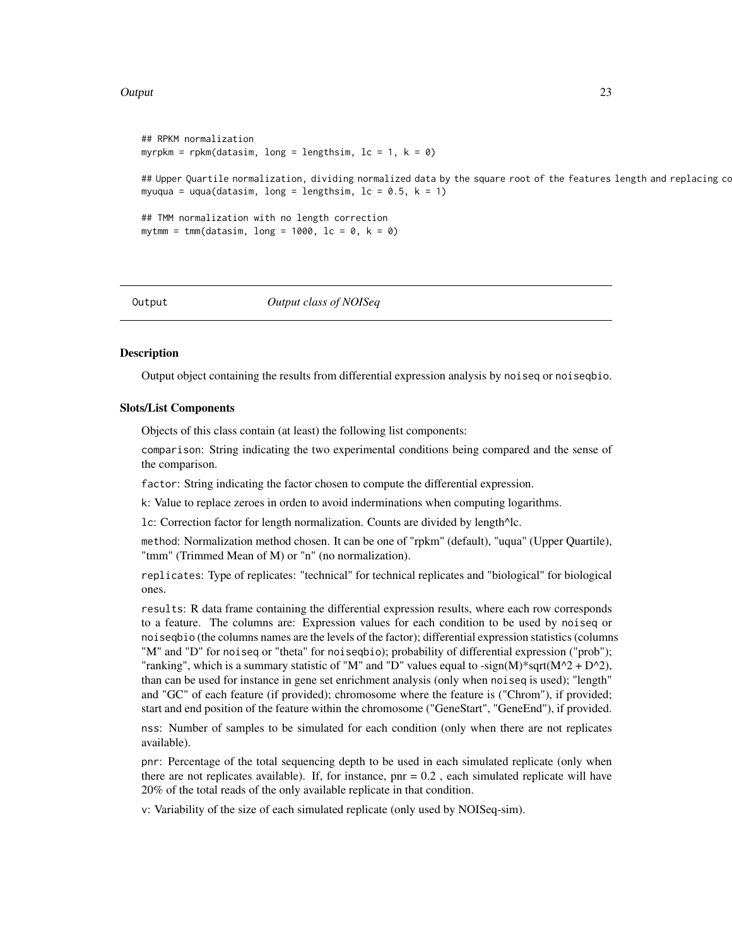#### <span id="page-22-0"></span>Output 23

```
## RPKM normalization
myrpkm = rpkm(datasim, long = lengthsim, lc = 1, k = 0)
## Upper Quartile normalization, dividing normalized data by the square root of the features length and replacing co
myuqua = uqua(datasim, long = lengthsim, lc = 0.5, k = 1)
## TMM normalization with no length correction
mytmm = tmm(datasim, long = 1000, lc = 0, k = 0)
```
<span id="page-22-1"></span>

Output *Output class of NOISeq*

#### **Description**

Output object containing the results from differential expression analysis by noiseq or noiseqbio.

#### Slots/List Components

Objects of this class contain (at least) the following list components:

comparison: String indicating the two experimental conditions being compared and the sense of the comparison.

factor: String indicating the factor chosen to compute the differential expression.

k: Value to replace zeroes in orden to avoid inderminations when computing logarithms.

lc: Correction factor for length normalization. Counts are divided by length^lc.

method: Normalization method chosen. It can be one of "rpkm" (default), "uqua" (Upper Quartile), "tmm" (Trimmed Mean of M) or "n" (no normalization).

replicates: Type of replicates: "technical" for technical replicates and "biological" for biological ones.

results: R data frame containing the differential expression results, where each row corresponds to a feature. The columns are: Expression values for each condition to be used by noiseq or noiseqbio (the columns names are the levels of the factor); differential expression statistics (columns "M" and "D" for noiseq or "theta" for noiseqbio); probability of differential expression ("prob"); "ranking", which is a summary statistic of "M" and "D" values equal to -sign(M)\*sqrt(M^2 + D^2), than can be used for instance in gene set enrichment analysis (only when noiseq is used); "length" and "GC" of each feature (if provided); chromosome where the feature is ("Chrom"), if provided; start and end position of the feature within the chromosome ("GeneStart", "GeneEnd"), if provided.

nss: Number of samples to be simulated for each condition (only when there are not replicates available).

pnr: Percentage of the total sequencing depth to be used in each simulated replicate (only when there are not replicates available). If, for instance,  $pnr = 0.2$ , each simulated replicate will have 20% of the total reads of the only available replicate in that condition.

v: Variability of the size of each simulated replicate (only used by NOISeq-sim).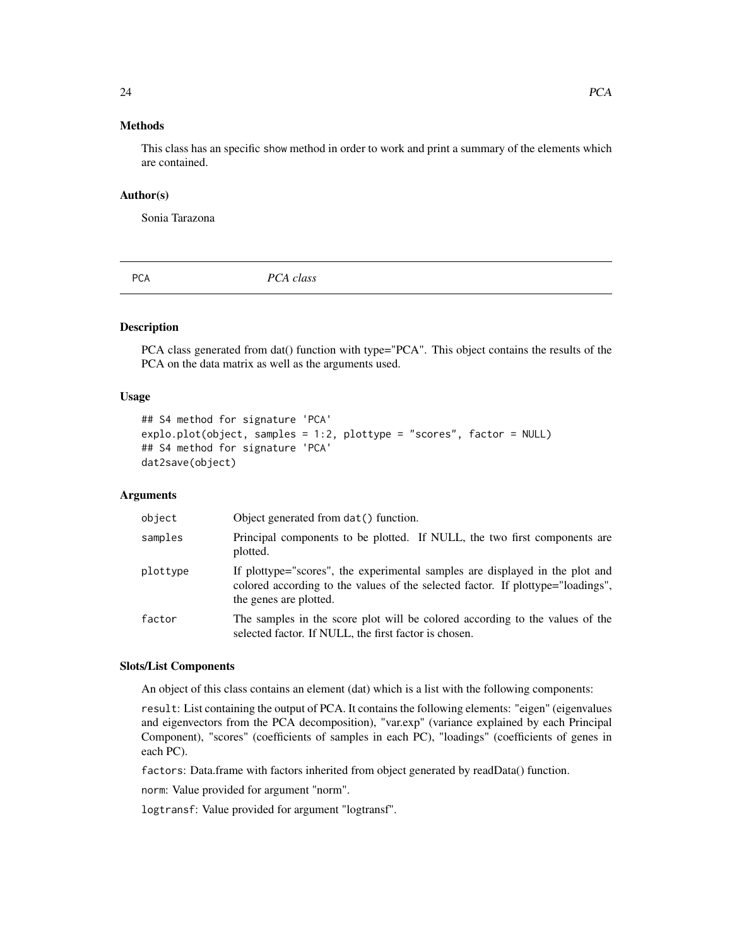## <span id="page-23-0"></span>Methods

This class has an specific show method in order to work and print a summary of the elements which are contained.

#### Author(s)

Sonia Tarazona

<span id="page-23-1"></span>PCA *PCA class*

## Description

PCA class generated from dat() function with type="PCA". This object contains the results of the PCA on the data matrix as well as the arguments used.

### Usage

```
## S4 method for signature 'PCA'
explo.plot(object, samples = 1:2, plottype = "scores", factor = NULL)
## S4 method for signature 'PCA'
dat2save(object)
```
## **Arguments**

| object   | Object generated from dat () function.                                                                                                                                                    |
|----------|-------------------------------------------------------------------------------------------------------------------------------------------------------------------------------------------|
| samples  | Principal components to be plotted. If NULL, the two first components are<br>plotted.                                                                                                     |
| plottype | If plottype="scores", the experimental samples are displayed in the plot and<br>colored according to the values of the selected factor. If plottype="loadings",<br>the genes are plotted. |
| factor   | The samples in the score plot will be colored according to the values of the<br>selected factor. If NULL, the first factor is chosen.                                                     |

#### Slots/List Components

An object of this class contains an element (dat) which is a list with the following components:

result: List containing the output of PCA. It contains the following elements: "eigen" (eigenvalues and eigenvectors from the PCA decomposition), "var.exp" (variance explained by each Principal Component), "scores" (coefficients of samples in each PC), "loadings" (coefficients of genes in each PC).

factors: Data.frame with factors inherited from object generated by readData() function.

norm: Value provided for argument "norm".

logtransf: Value provided for argument "logtransf".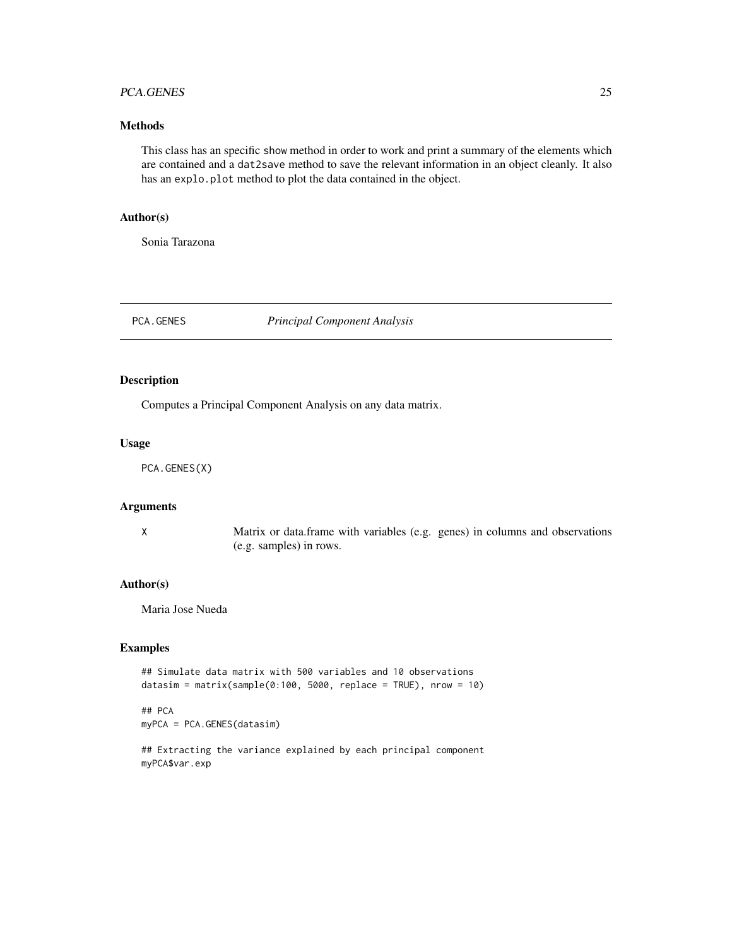## <span id="page-24-0"></span>PCA.GENES 25

## Methods

This class has an specific show method in order to work and print a summary of the elements which are contained and a dat2save method to save the relevant information in an object cleanly. It also has an explo.plot method to plot the data contained in the object.

## Author(s)

Sonia Tarazona

PCA.GENES *Principal Component Analysis*

#### Description

Computes a Principal Component Analysis on any data matrix.

#### Usage

PCA.GENES(X)

#### Arguments

X Matrix or data.frame with variables (e.g. genes) in columns and observations (e.g. samples) in rows.

## Author(s)

Maria Jose Nueda

### Examples

```
## Simulate data matrix with 500 variables and 10 observations
datasim = matrix(sample(0:100, 5000, replace = TRUE), nrow = 10)
```
## PCA myPCA = PCA.GENES(datasim)

## Extracting the variance explained by each principal component myPCA\$var.exp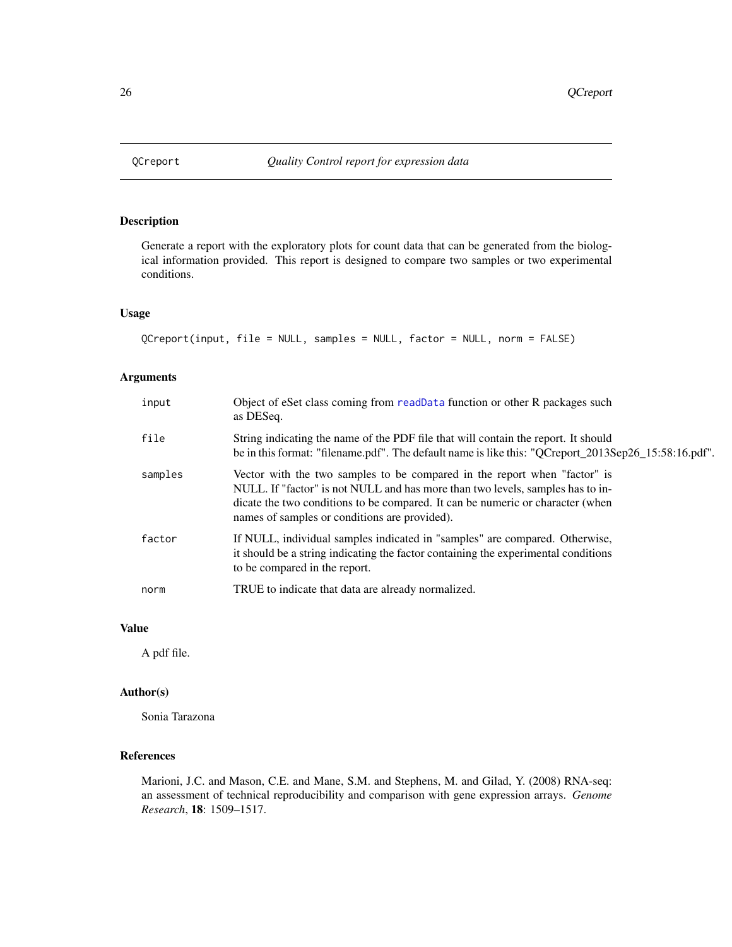<span id="page-25-0"></span>

## Description

Generate a report with the exploratory plots for count data that can be generated from the biological information provided. This report is designed to compare two samples or two experimental conditions.

## Usage

```
QCreport(input, file = NULL, samples = NULL, factor = NULL, norm = FALSE)
```
## Arguments

| input   | Object of eSet class coming from readData function or other R packages such<br>as DESeq.                                                                                                                                                                                                       |
|---------|------------------------------------------------------------------------------------------------------------------------------------------------------------------------------------------------------------------------------------------------------------------------------------------------|
| file    | String indicating the name of the PDF file that will contain the report. It should<br>be in this format: "filename.pdf". The default name is like this: "QCreport_2013Sep26_15:58:16.pdf".                                                                                                     |
| samples | Vector with the two samples to be compared in the report when "factor" is<br>NULL. If "factor" is not NULL and has more than two levels, samples has to in-<br>dicate the two conditions to be compared. It can be numeric or character (when<br>names of samples or conditions are provided). |
| factor  | If NULL, individual samples indicated in "samples" are compared. Otherwise,<br>it should be a string indicating the factor containing the experimental conditions<br>to be compared in the report.                                                                                             |
| norm    | TRUE to indicate that data are already normalized.                                                                                                                                                                                                                                             |

## Value

A pdf file.

## Author(s)

Sonia Tarazona

## References

Marioni, J.C. and Mason, C.E. and Mane, S.M. and Stephens, M. and Gilad, Y. (2008) RNA-seq: an assessment of technical reproducibility and comparison with gene expression arrays. *Genome Research*, 18: 1509–1517.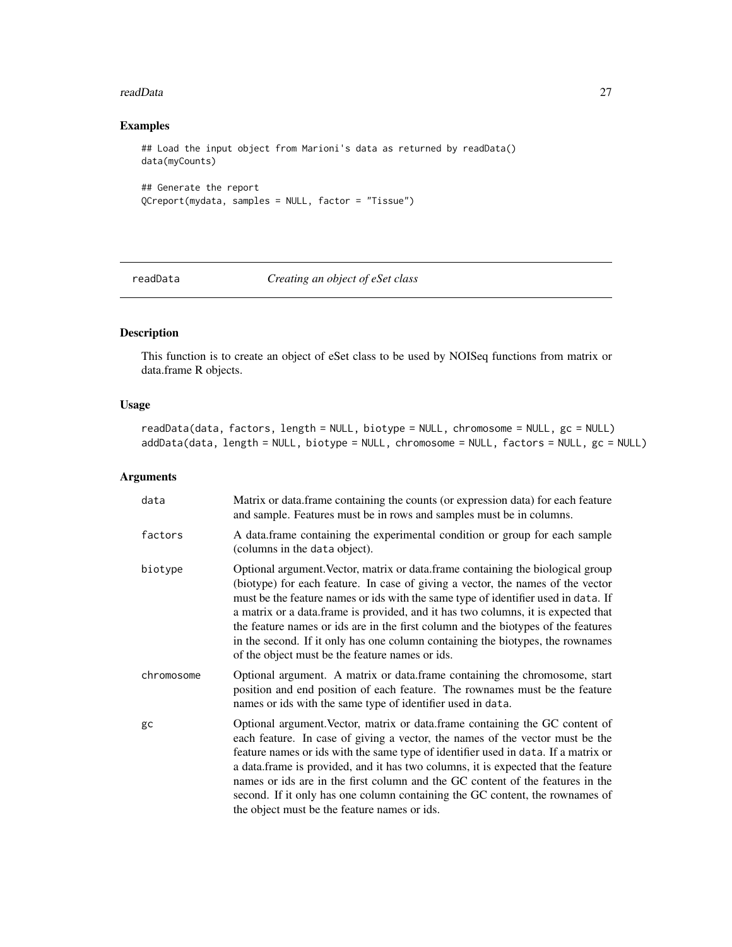#### <span id="page-26-0"></span>readData 27

## Examples

```
## Load the input object from Marioni's data as returned by readData()
data(myCounts)
## Generate the report
```

```
QCreport(mydata, samples = NULL, factor = "Tissue")
```
<span id="page-26-1"></span>readData *Creating an object of eSet class*

## <span id="page-26-2"></span>Description

This function is to create an object of eSet class to be used by NOISeq functions from matrix or data.frame R objects.

## Usage

readData(data, factors, length = NULL, biotype = NULL, chromosome = NULL, gc = NULL) addData(data, length = NULL, biotype = NULL, chromosome = NULL, factors = NULL, gc = NULL)

| data       | Matrix or data. frame containing the counts (or expression data) for each feature<br>and sample. Features must be in rows and samples must be in columns.                                                                                                                                                                                                                                                                                                                                                                                                                |
|------------|--------------------------------------------------------------------------------------------------------------------------------------------------------------------------------------------------------------------------------------------------------------------------------------------------------------------------------------------------------------------------------------------------------------------------------------------------------------------------------------------------------------------------------------------------------------------------|
| factors    | A data. frame containing the experimental condition or group for each sample<br>(columns in the data object).                                                                                                                                                                                                                                                                                                                                                                                                                                                            |
| biotype    | Optional argument. Vector, matrix or data. frame containing the biological group<br>(biotype) for each feature. In case of giving a vector, the names of the vector<br>must be the feature names or ids with the same type of identifier used in data. If<br>a matrix or a data.frame is provided, and it has two columns, it is expected that<br>the feature names or ids are in the first column and the biotypes of the features<br>in the second. If it only has one column containing the biotypes, the rownames<br>of the object must be the feature names or ids. |
| chromosome | Optional argument. A matrix or data.frame containing the chromosome, start<br>position and end position of each feature. The rownames must be the feature<br>names or ids with the same type of identifier used in data.                                                                                                                                                                                                                                                                                                                                                 |
| gc         | Optional argument. Vector, matrix or data. frame containing the GC content of<br>each feature. In case of giving a vector, the names of the vector must be the<br>feature names or ids with the same type of identifier used in data. If a matrix or<br>a data.frame is provided, and it has two columns, it is expected that the feature<br>names or ids are in the first column and the GC content of the features in the<br>second. If it only has one column containing the GC content, the rownames of<br>the object must be the feature names or ids.              |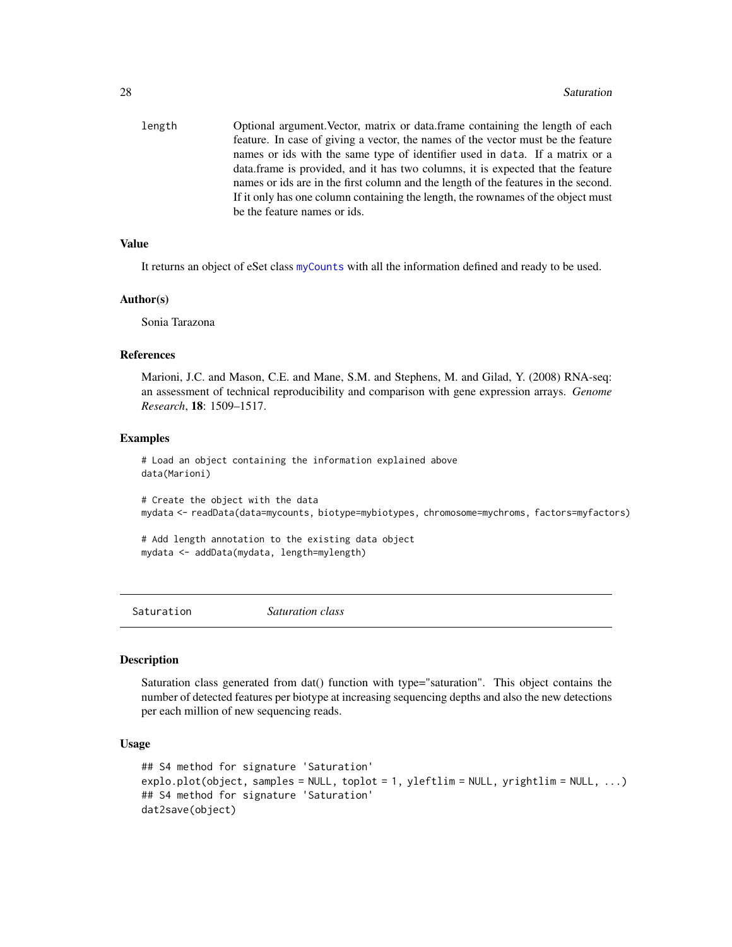<span id="page-27-0"></span>

| feature. In case of giving a vector, the names of the vector must be the feature<br>names or ids with the same type of identifier used in data. If a matrix or a<br>data frame is provided, and it has two columns, it is expected that the feature<br>names or ids are in the first column and the length of the features in the second.<br>If it only has one column containing the length, the rownames of the object must |  |
|-------------------------------------------------------------------------------------------------------------------------------------------------------------------------------------------------------------------------------------------------------------------------------------------------------------------------------------------------------------------------------------------------------------------------------|--|
|                                                                                                                                                                                                                                                                                                                                                                                                                               |  |
|                                                                                                                                                                                                                                                                                                                                                                                                                               |  |
|                                                                                                                                                                                                                                                                                                                                                                                                                               |  |
|                                                                                                                                                                                                                                                                                                                                                                                                                               |  |
|                                                                                                                                                                                                                                                                                                                                                                                                                               |  |
| be the feature names or ids.                                                                                                                                                                                                                                                                                                                                                                                                  |  |

## Value

It returns an object of eSet class [myCounts](#page-16-1) with all the information defined and ready to be used.

#### Author(s)

Sonia Tarazona

## References

Marioni, J.C. and Mason, C.E. and Mane, S.M. and Stephens, M. and Gilad, Y. (2008) RNA-seq: an assessment of technical reproducibility and comparison with gene expression arrays. *Genome Research*, 18: 1509–1517.

#### Examples

# Load an object containing the information explained above data(Marioni)

# Create the object with the data mydata <- readData(data=mycounts, biotype=mybiotypes, chromosome=mychroms, factors=myfactors)

```
# Add length annotation to the existing data object
mydata <- addData(mydata, length=mylength)
```
<span id="page-27-1"></span>Saturation *Saturation class*

#### Description

Saturation class generated from dat() function with type="saturation". This object contains the number of detected features per biotype at increasing sequencing depths and also the new detections per each million of new sequencing reads.

#### Usage

```
## S4 method for signature 'Saturation'
explo.plot(object, samples = NULL, toplot = 1, yleftlim = NULL, yrightlim = NULL, ...)
## S4 method for signature 'Saturation'
dat2save(object)
```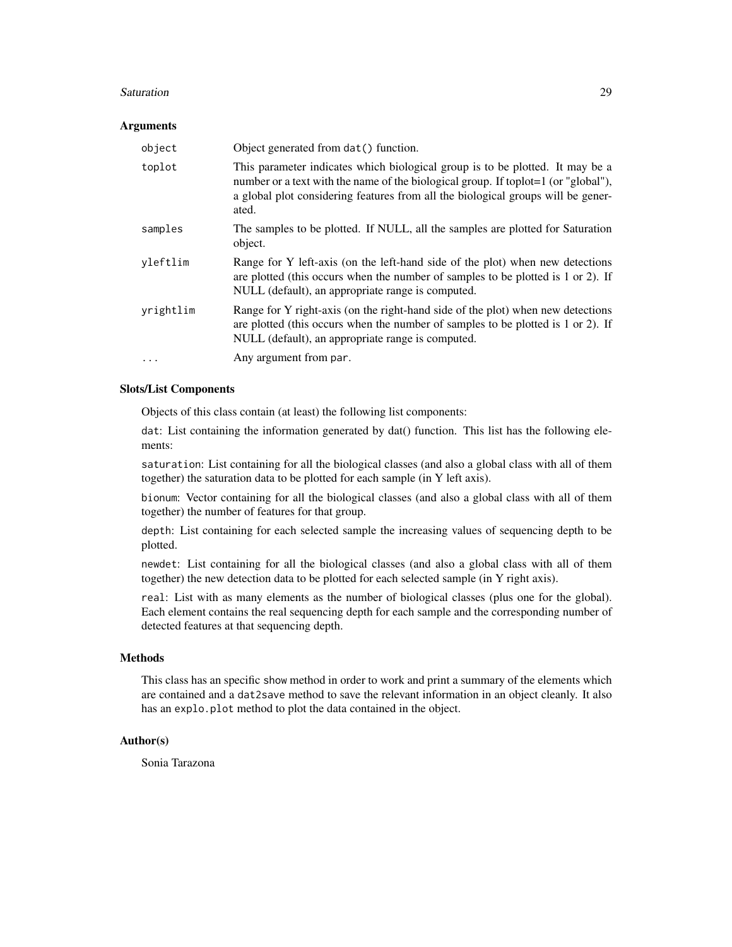#### Saturation 29

#### **Arguments**

| object    | Object generated from dat () function.                                                                                                                                                                                                                           |
|-----------|------------------------------------------------------------------------------------------------------------------------------------------------------------------------------------------------------------------------------------------------------------------|
| toplot    | This parameter indicates which biological group is to be plotted. It may be a<br>number or a text with the name of the biological group. If toplot=1 (or "global"),<br>a global plot considering features from all the biological groups will be gener-<br>ated. |
| samples   | The samples to be plotted. If NULL, all the samples are plotted for Saturation<br>object.                                                                                                                                                                        |
| yleftlim  | Range for Y left-axis (on the left-hand side of the plot) when new detections<br>are plotted (this occurs when the number of samples to be plotted is 1 or 2). If<br>NULL (default), an appropriate range is computed.                                           |
| yrightlim | Range for Y right-axis (on the right-hand side of the plot) when new detections<br>are plotted (this occurs when the number of samples to be plotted is 1 or 2). If<br>NULL (default), an appropriate range is computed.                                         |
|           | Any argument from par.                                                                                                                                                                                                                                           |

## Slots/List Components

Objects of this class contain (at least) the following list components:

dat: List containing the information generated by dat() function. This list has the following elements:

saturation: List containing for all the biological classes (and also a global class with all of them together) the saturation data to be plotted for each sample (in Y left axis).

bionum: Vector containing for all the biological classes (and also a global class with all of them together) the number of features for that group.

depth: List containing for each selected sample the increasing values of sequencing depth to be plotted.

newdet: List containing for all the biological classes (and also a global class with all of them together) the new detection data to be plotted for each selected sample (in Y right axis).

real: List with as many elements as the number of biological classes (plus one for the global). Each element contains the real sequencing depth for each sample and the corresponding number of detected features at that sequencing depth.

## Methods

This class has an specific show method in order to work and print a summary of the elements which are contained and a dat2save method to save the relevant information in an object cleanly. It also has an explo.plot method to plot the data contained in the object.

#### Author(s)

Sonia Tarazona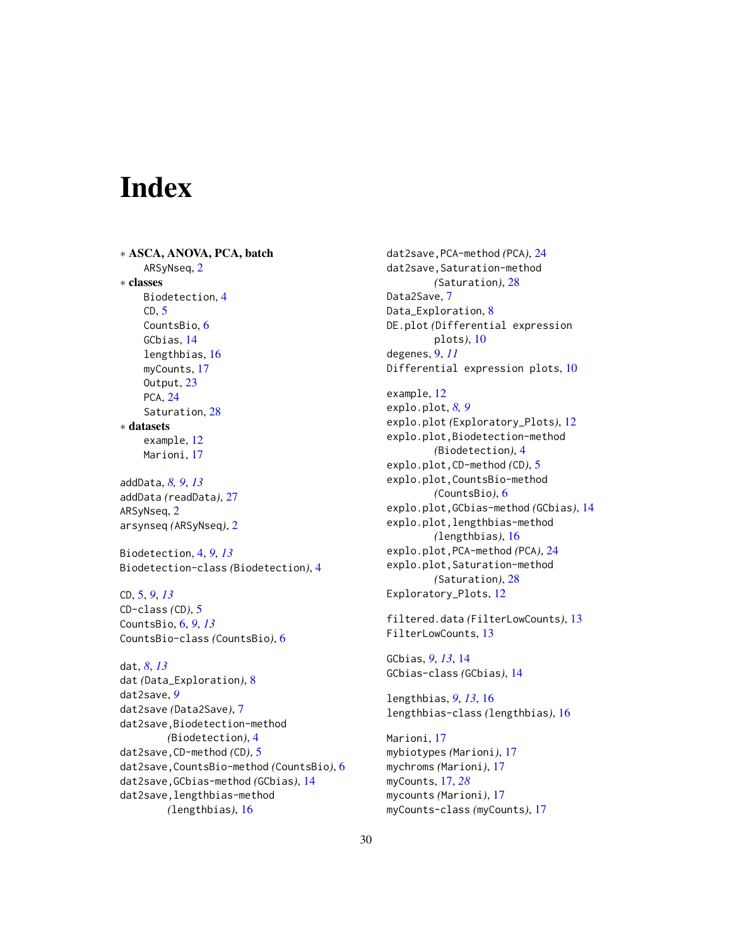# <span id="page-29-0"></span>**Index**

∗ ASCA, ANOVA, PCA, batch ARSyNseq, [2](#page-1-0) ∗ classes Biodetection, [4](#page-3-0)  $CD, 5$  $CD, 5$ CountsBio, [6](#page-5-0) GCbias, [14](#page-13-0) lengthbias, [16](#page-15-0) myCounts, [17](#page-16-0) Output, [23](#page-22-0) PCA, [24](#page-23-0) Saturation, [28](#page-27-0) ∗ datasets example, [12](#page-11-0) Marioni, [17](#page-16-0)

addData, *[8,](#page-7-0) [9](#page-8-0)*, *[13](#page-12-0)* addData *(*readData*)*, [27](#page-26-0) ARSyNseq, [2](#page-1-0) arsynseq *(*ARSyNseq*)*, [2](#page-1-0)

Biodetection, [4,](#page-3-0) *[9](#page-8-0)*, *[13](#page-12-0)* Biodetection-class *(*Biodetection*)*, [4](#page-3-0)

CD, [5,](#page-4-0) *[9](#page-8-0)*, *[13](#page-12-0)* CD-class *(*CD*)*, [5](#page-4-0) CountsBio, [6,](#page-5-0) *[9](#page-8-0)*, *[13](#page-12-0)* CountsBio-class *(*CountsBio*)*, [6](#page-5-0)

dat, *[8](#page-7-0)*, *[13](#page-12-0)* dat *(*Data\_Exploration*)*, [8](#page-7-0) dat2save, *[9](#page-8-0)* dat2save *(*Data2Save*)*, [7](#page-6-0) dat2save,Biodetection-method *(*Biodetection*)*, [4](#page-3-0) dat2save,CD-method *(*CD*)*, [5](#page-4-0) dat2save,CountsBio-method *(*CountsBio*)*, [6](#page-5-0) dat2save,GCbias-method *(*GCbias*)*, [14](#page-13-0) dat2save,lengthbias-method *(*lengthbias*)*, [16](#page-15-0)

dat2save,PCA-method *(*PCA*)*, [24](#page-23-0) dat2save, Saturation-method *(*Saturation*)*, [28](#page-27-0) Data2Save, [7](#page-6-0) Data\_Exploration, [8](#page-7-0) DE.plot *(*Differential expression plots*)*, [10](#page-9-0) degenes, [9,](#page-8-0) *[11](#page-10-0)* Differential expression plots, [10](#page-9-0) example, [12](#page-11-0) explo.plot, *[8,](#page-7-0) [9](#page-8-0)* explo.plot *(*Exploratory\_Plots*)*, [12](#page-11-0) explo.plot,Biodetection-method *(*Biodetection*)*, [4](#page-3-0) explo.plot,CD-method *(*CD*)*, [5](#page-4-0) explo.plot,CountsBio-method *(*CountsBio*)*, [6](#page-5-0) explo.plot,GCbias-method *(*GCbias*)*, [14](#page-13-0) explo.plot,lengthbias-method *(*lengthbias*)*, [16](#page-15-0) explo.plot,PCA-method *(*PCA*)*, [24](#page-23-0) explo.plot,Saturation-method *(*Saturation*)*, [28](#page-27-0)

Exploratory\_Plots, [12](#page-11-0)

filtered.data *(*FilterLowCounts*)*, [13](#page-12-0) FilterLowCounts, [13](#page-12-0)

GCbias, *[9](#page-8-0)*, *[13](#page-12-0)*, [14](#page-13-0) GCbias-class *(*GCbias*)*, [14](#page-13-0)

lengthbias, *[9](#page-8-0)*, *[13](#page-12-0)*, [16](#page-15-0) lengthbias-class *(*lengthbias*)*, [16](#page-15-0)

Marioni, [17](#page-16-0) mybiotypes *(*Marioni*)*, [17](#page-16-0) mychroms *(*Marioni*)*, [17](#page-16-0) myCounts, [17,](#page-16-0) *[28](#page-27-0)* mycounts *(*Marioni*)*, [17](#page-16-0) myCounts-class *(*myCounts*)*, [17](#page-16-0)